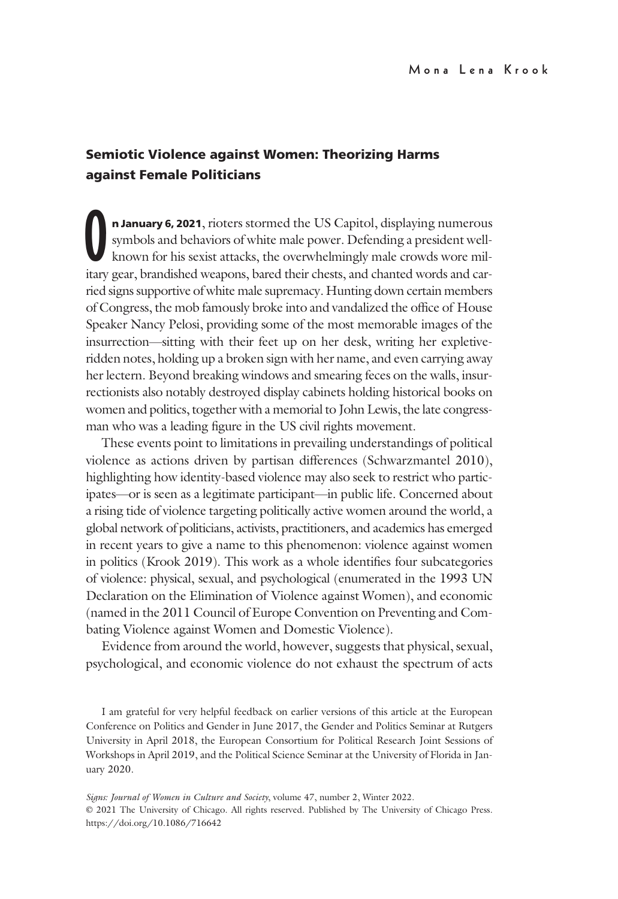# Semiotic Violence against Women: Theorizing Harms against Female Politicians

**n January 6, 2021**, rioters stormed the US Capitol, displaying numerous symbols and behaviors of white male power. Defending a president well-<br>known for his sexist attacks, the overwhelmingly male crowds wore military gea n January 6, 2021, rioters stormed the US Capitol, displaying numerous symbols and behaviors of white male power. Defending a president wellknown for his sexist attacks, the overwhelmingly male crowds wore milried signs supportive of white male supremacy. Hunting down certain members of Congress, the mob famously broke into and vandalized the office of House Speaker Nancy Pelosi, providing some of the most memorable images of the insurrection—sitting with their feet up on her desk, writing her expletiveridden notes, holding up a broken sign with her name, and even carrying away her lectern. Beyond breaking windows and smearing feces on the walls, insurrectionists also notably destroyed display cabinets holding historical books on women and politics, together with a memorial to John Lewis, the late congressman who was a leading figure in the US civil rights movement.

These events point to limitations in prevailing understandings of political violence as actions driven by partisan differences (Schwarzmantel 2010), highlighting how identity-based violence may also seek to restrict who participates—or is seen as a legitimate participant—in public life. Concerned about a rising tide of violence targeting politically active women around the world, a global network of politicians, activists, practitioners, and academics has emerged in recent years to give a name to this phenomenon: violence against women in politics (Krook 2019). This work as a whole identifies four subcategories of violence: physical, sexual, and psychological (enumerated in the 1993 UN Declaration on the Elimination of Violence against Women), and economic (named in the 2011 Council of Europe Convention on Preventing and Combating Violence against Women and Domestic Violence).

Evidence from around the world, however, suggests that physical, sexual, psychological, and economic violence do not exhaust the spectrum of acts

I am grateful for very helpful feedback on earlier versions of this article at the European Conference on Politics and Gender in June 2017, the Gender and Politics Seminar at Rutgers University in April 2018, the European Consortium for Political Research Joint Sessions of Workshops in April 2019, and the Political Science Seminar at the University of Florida in January 2020.

Signs: Journal of Women in Culture and Society, volume 47, number 2, Winter 2022. © 2021 The University of Chicago. All rights reserved. Published by The University of Chicago Press. <https://doi.org/10.1086/716642>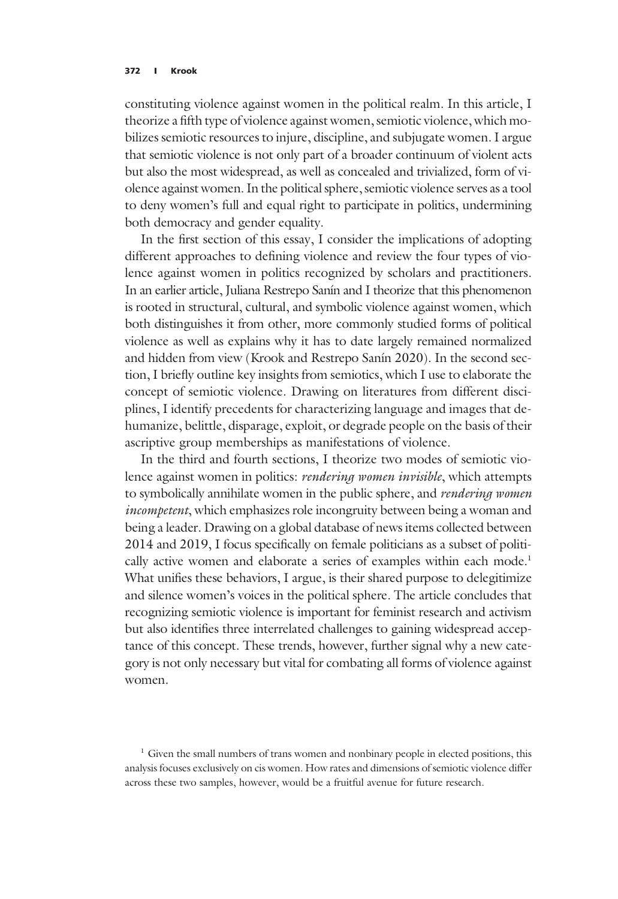#### 372 | Krook

constituting violence against women in the political realm. In this article, I theorize a fifth type of violence against women, semiotic violence, which mobilizes semiotic resources to injure, discipline, and subjugate women. I argue that semiotic violence is not only part of a broader continuum of violent acts but also the most widespread, as well as concealed and trivialized, form of violence against women. In the political sphere, semiotic violence serves as a tool to deny women's full and equal right to participate in politics, undermining both democracy and gender equality.

In the first section of this essay, I consider the implications of adopting different approaches to defining violence and review the four types of violence against women in politics recognized by scholars and practitioners. In an earlier article, Juliana Restrepo Sanín and I theorize that this phenomenon is rooted in structural, cultural, and symbolic violence against women, which both distinguishes it from other, more commonly studied forms of political violence as well as explains why it has to date largely remained normalized and hidden from view (Krook and Restrepo Sanín 2020). In the second section, I briefly outline key insights from semiotics, which I use to elaborate the concept of semiotic violence. Drawing on literatures from different disciplines, I identify precedents for characterizing language and images that dehumanize, belittle, disparage, exploit, or degrade people on the basis of their ascriptive group memberships as manifestations of violence.

In the third and fourth sections, I theorize two modes of semiotic violence against women in politics: rendering women invisible, which attempts to symbolically annihilate women in the public sphere, and rendering women incompetent, which emphasizes role incongruity between being a woman and being a leader. Drawing on a global database of news items collected between 2014 and 2019, I focus specifically on female politicians as a subset of politically active women and elaborate a series of examples within each mode.<sup>1</sup> What unifies these behaviors, I argue, is their shared purpose to delegitimize and silence women's voices in the political sphere. The article concludes that recognizing semiotic violence is important for feminist research and activism but also identifies three interrelated challenges to gaining widespread acceptance of this concept. These trends, however, further signal why a new category is not only necessary but vital for combating all forms of violence against women.

<sup>&</sup>lt;sup>1</sup> Given the small numbers of trans women and nonbinary people in elected positions, this analysis focuses exclusively on cis women. How rates and dimensions of semiotic violence differ across these two samples, however, would be a fruitful avenue for future research.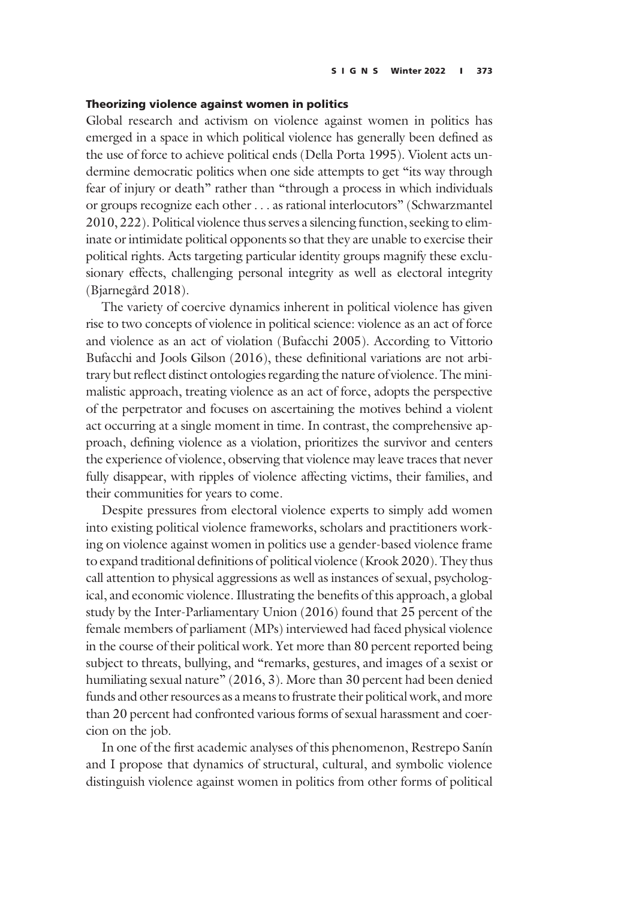## Theorizing violence against women in politics

Global research and activism on violence against women in politics has emerged in a space in which political violence has generally been defined as the use of force to achieve political ends (Della Porta 1995). Violent acts undermine democratic politics when one side attempts to get "its way through fear of injury or death" rather than "through a process in which individuals or groups recognize each other ... as rational interlocutors" (Schwarzmantel 2010, 222). Political violence thus serves a silencing function, seeking to eliminate or intimidate political opponents so that they are unable to exercise their political rights. Acts targeting particular identity groups magnify these exclusionary effects, challenging personal integrity as well as electoral integrity (Bjarnegård 2018).

The variety of coercive dynamics inherent in political violence has given rise to two concepts of violence in political science: violence as an act of force and violence as an act of violation (Bufacchi 2005). According to Vittorio Bufacchi and Jools Gilson (2016), these definitional variations are not arbitrary but reflect distinct ontologies regarding the nature of violence. The minimalistic approach, treating violence as an act of force, adopts the perspective of the perpetrator and focuses on ascertaining the motives behind a violent act occurring at a single moment in time. In contrast, the comprehensive approach, defining violence as a violation, prioritizes the survivor and centers the experience of violence, observing that violence may leave traces that never fully disappear, with ripples of violence affecting victims, their families, and their communities for years to come.

Despite pressures from electoral violence experts to simply add women into existing political violence frameworks, scholars and practitioners working on violence against women in politics use a gender-based violence frame to expand traditional definitions of political violence (Krook 2020). They thus call attention to physical aggressions as well as instances of sexual, psychological, and economic violence. Illustrating the benefits of this approach, a global study by the Inter-Parliamentary Union (2016) found that 25 percent of the female members of parliament (MPs) interviewed had faced physical violence in the course of their political work. Yet more than 80 percent reported being subject to threats, bullying, and "remarks, gestures, and images of a sexist or humiliating sexual nature" (2016, 3). More than 30 percent had been denied funds and other resources as a means to frustrate their political work, and more than 20 percent had confronted various forms of sexual harassment and coercion on the job.

In one of the first academic analyses of this phenomenon, Restrepo Sanín and I propose that dynamics of structural, cultural, and symbolic violence distinguish violence against women in politics from other forms of political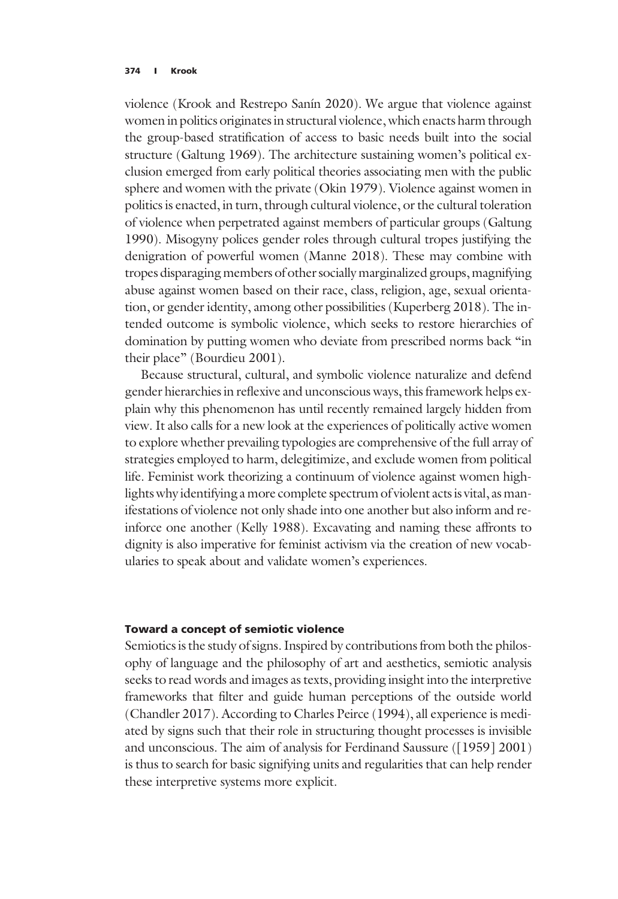#### 374 I Krook

violence (Krook and Restrepo Sanín 2020). We argue that violence against women in politics originates in structural violence, which enacts harm through the group-based stratification of access to basic needs built into the social structure (Galtung 1969). The architecture sustaining women's political exclusion emerged from early political theories associating men with the public sphere and women with the private (Okin 1979). Violence against women in politics is enacted, in turn, through cultural violence, or the cultural toleration of violence when perpetrated against members of particular groups (Galtung 1990). Misogyny polices gender roles through cultural tropes justifying the denigration of powerful women (Manne 2018). These may combine with tropes disparaging members of other socially marginalized groups, magnifying abuse against women based on their race, class, religion, age, sexual orientation, or gender identity, among other possibilities (Kuperberg 2018). The intended outcome is symbolic violence, which seeks to restore hierarchies of domination by putting women who deviate from prescribed norms back "in their place" (Bourdieu 2001).

Because structural, cultural, and symbolic violence naturalize and defend gender hierarchies in reflexive and unconscious ways, this framework helps explain why this phenomenon has until recently remained largely hidden from view. It also calls for a new look at the experiences of politically active women to explore whether prevailing typologies are comprehensive of the full array of strategies employed to harm, delegitimize, and exclude women from political life. Feminist work theorizing a continuum of violence against women highlights why identifying a more complete spectrum of violent acts is vital, as manifestations of violence not only shade into one another but also inform and reinforce one another (Kelly 1988). Excavating and naming these affronts to dignity is also imperative for feminist activism via the creation of new vocabularies to speak about and validate women's experiences.

#### Toward a concept of semiotic violence

Semiotics is the study of signs. Inspired by contributions from both the philosophy of language and the philosophy of art and aesthetics, semiotic analysis seeks to read words and images as texts, providing insight into the interpretive frameworks that filter and guide human perceptions of the outside world (Chandler 2017). According to Charles Peirce (1994), all experience is mediated by signs such that their role in structuring thought processes is invisible and unconscious. The aim of analysis for Ferdinand Saussure ([1959] 2001) is thus to search for basic signifying units and regularities that can help render these interpretive systems more explicit.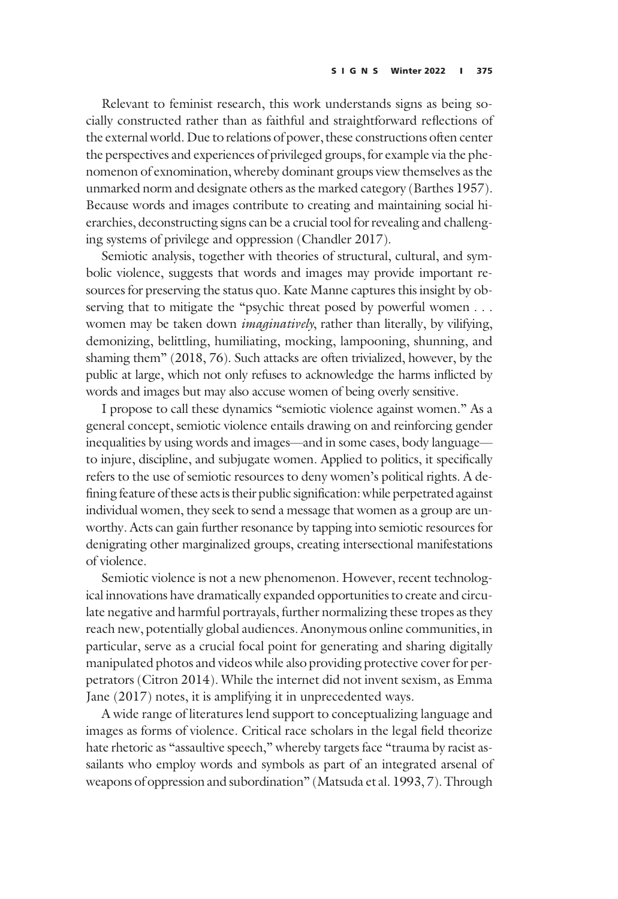Relevant to feminist research, this work understands signs as being socially constructed rather than as faithful and straightforward reflections of the external world. Due to relations of power, these constructions often center the perspectives and experiences of privileged groups, for example via the phenomenon of exnomination, whereby dominant groups view themselves as the unmarked norm and designate others as the marked category (Barthes 1957). Because words and images contribute to creating and maintaining social hierarchies, deconstructing signs can be a crucial tool for revealing and challenging systems of privilege and oppression (Chandler 2017).

Semiotic analysis, together with theories of structural, cultural, and symbolic violence, suggests that words and images may provide important resources for preserving the status quo. Kate Manne captures this insight by observing that to mitigate the "psychic threat posed by powerful women . . . women may be taken down *imaginatively*, rather than literally, by vilifying, demonizing, belittling, humiliating, mocking, lampooning, shunning, and shaming them" (2018, 76). Such attacks are often trivialized, however, by the public at large, which not only refuses to acknowledge the harms inflicted by words and images but may also accuse women of being overly sensitive.

I propose to call these dynamics "semiotic violence against women." As a general concept, semiotic violence entails drawing on and reinforcing gender inequalities by using words and images—and in some cases, body language to injure, discipline, and subjugate women. Applied to politics, it specifically refers to the use of semiotic resources to deny women's political rights. A defining feature of these acts is their public signification: while perpetrated against individual women, they seek to send a message that women as a group are unworthy. Acts can gain further resonance by tapping into semiotic resources for denigrating other marginalized groups, creating intersectional manifestations of violence.

Semiotic violence is not a new phenomenon. However, recent technological innovations have dramatically expanded opportunities to create and circulate negative and harmful portrayals, further normalizing these tropes as they reach new, potentially global audiences. Anonymous online communities, in particular, serve as a crucial focal point for generating and sharing digitally manipulated photos and videos while also providing protective cover for perpetrators (Citron 2014). While the internet did not invent sexism, as Emma Jane (2017) notes, it is amplifying it in unprecedented ways.

A wide range of literatures lend support to conceptualizing language and images as forms of violence. Critical race scholars in the legal field theorize hate rhetoric as "assaultive speech," whereby targets face "trauma by racist assailants who employ words and symbols as part of an integrated arsenal of weapons of oppression and subordination" (Matsuda et al. 1993, 7). Through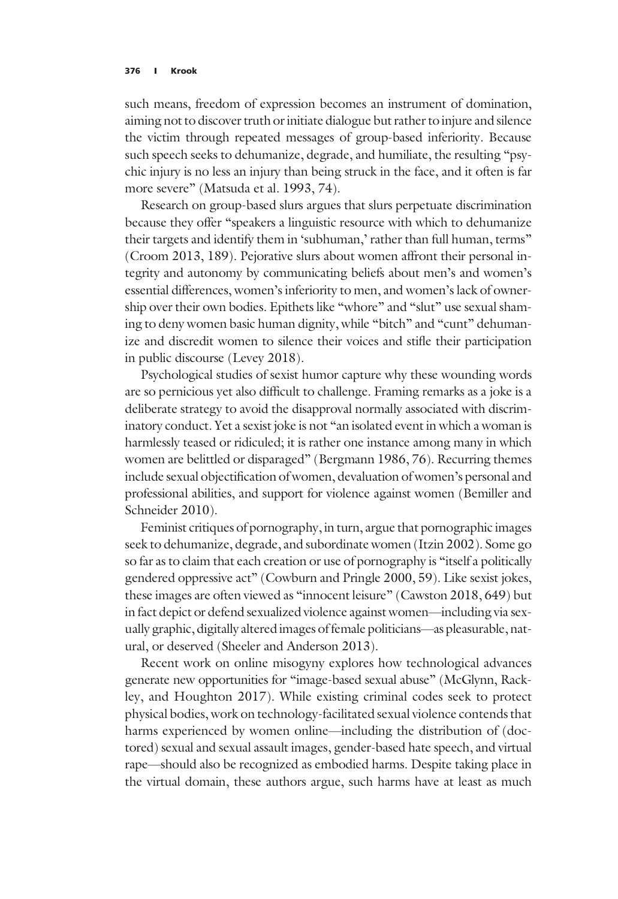such means, freedom of expression becomes an instrument of domination, aiming not to discover truth or initiate dialogue but rather to injure and silence the victim through repeated messages of group-based inferiority. Because such speech seeks to dehumanize, degrade, and humiliate, the resulting "psychic injury is no less an injury than being struck in the face, and it often is far more severe" (Matsuda et al. 1993, 74).

Research on group-based slurs argues that slurs perpetuate discrimination because they offer "speakers a linguistic resource with which to dehumanize their targets and identify them in 'subhuman,' rather than full human, terms" (Croom 2013, 189). Pejorative slurs about women affront their personal integrity and autonomy by communicating beliefs about men's and women's essential differences, women's inferiority to men, and women's lack of ownership over their own bodies. Epithets like "whore" and "slut" use sexual shaming to deny women basic human dignity, while "bitch" and "cunt" dehumanize and discredit women to silence their voices and stifle their participation in public discourse (Levey 2018).

Psychological studies of sexist humor capture why these wounding words are so pernicious yet also difficult to challenge. Framing remarks as a joke is a deliberate strategy to avoid the disapproval normally associated with discriminatory conduct. Yet a sexist joke is not "an isolated event in which a woman is harmlessly teased or ridiculed; it is rather one instance among many in which women are belittled or disparaged" (Bergmann 1986, 76). Recurring themes include sexual objectification of women, devaluation of women's personal and professional abilities, and support for violence against women (Bemiller and Schneider 2010).

Feminist critiques of pornography, in turn, argue that pornographic images seek to dehumanize, degrade, and subordinate women (Itzin 2002). Some go so far as to claim that each creation or use of pornography is "itself a politically gendered oppressive act" (Cowburn and Pringle 2000, 59). Like sexist jokes, these images are often viewed as "innocent leisure" (Cawston 2018, 649) but in fact depict or defend sexualized violence against women—including via sexually graphic, digitally altered images of female politicians—as pleasurable, natural, or deserved (Sheeler and Anderson 2013).

Recent work on online misogyny explores how technological advances generate new opportunities for "image-based sexual abuse" (McGlynn, Rackley, and Houghton 2017). While existing criminal codes seek to protect physical bodies, work on technology-facilitated sexual violence contends that harms experienced by women online—including the distribution of (doctored) sexual and sexual assault images, gender-based hate speech, and virtual rape—should also be recognized as embodied harms. Despite taking place in the virtual domain, these authors argue, such harms have at least as much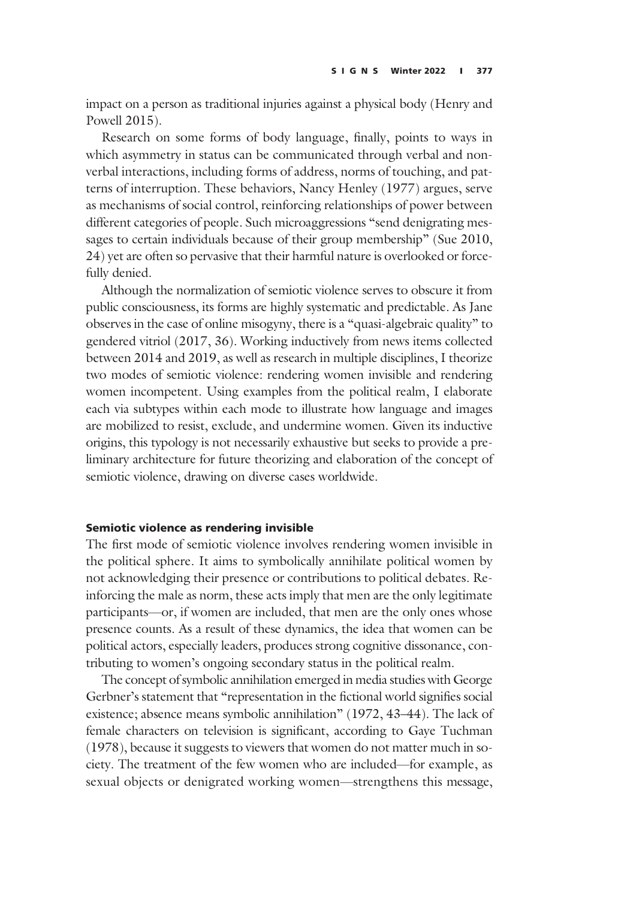impact on a person as traditional injuries against a physical body (Henry and Powell 2015).

Research on some forms of body language, finally, points to ways in which asymmetry in status can be communicated through verbal and nonverbal interactions, including forms of address, norms of touching, and patterns of interruption. These behaviors, Nancy Henley (1977) argues, serve as mechanisms of social control, reinforcing relationships of power between different categories of people. Such microaggressions "send denigrating messages to certain individuals because of their group membership" (Sue 2010, 24) yet are often so pervasive that their harmful nature is overlooked or forcefully denied.

Although the normalization of semiotic violence serves to obscure it from public consciousness, its forms are highly systematic and predictable. As Jane observes in the case of online misogyny, there is a "quasi-algebraic quality" to gendered vitriol (2017, 36). Working inductively from news items collected between 2014 and 2019, as well as research in multiple disciplines, I theorize two modes of semiotic violence: rendering women invisible and rendering women incompetent. Using examples from the political realm, I elaborate each via subtypes within each mode to illustrate how language and images are mobilized to resist, exclude, and undermine women. Given its inductive origins, this typology is not necessarily exhaustive but seeks to provide a preliminary architecture for future theorizing and elaboration of the concept of semiotic violence, drawing on diverse cases worldwide.

#### Semiotic violence as rendering invisible

The first mode of semiotic violence involves rendering women invisible in the political sphere. It aims to symbolically annihilate political women by not acknowledging their presence or contributions to political debates. Reinforcing the male as norm, these acts imply that men are the only legitimate participants—or, if women are included, that men are the only ones whose presence counts. As a result of these dynamics, the idea that women can be political actors, especially leaders, produces strong cognitive dissonance, contributing to women's ongoing secondary status in the political realm.

The concept of symbolic annihilation emerged in media studies with George Gerbner's statement that "representation in the fictional world signifies social existence; absence means symbolic annihilation" (1972, 43–44). The lack of female characters on television is significant, according to Gaye Tuchman (1978), because it suggests to viewers that women do not matter much in society. The treatment of the few women who are included—for example, as sexual objects or denigrated working women—strengthens this message,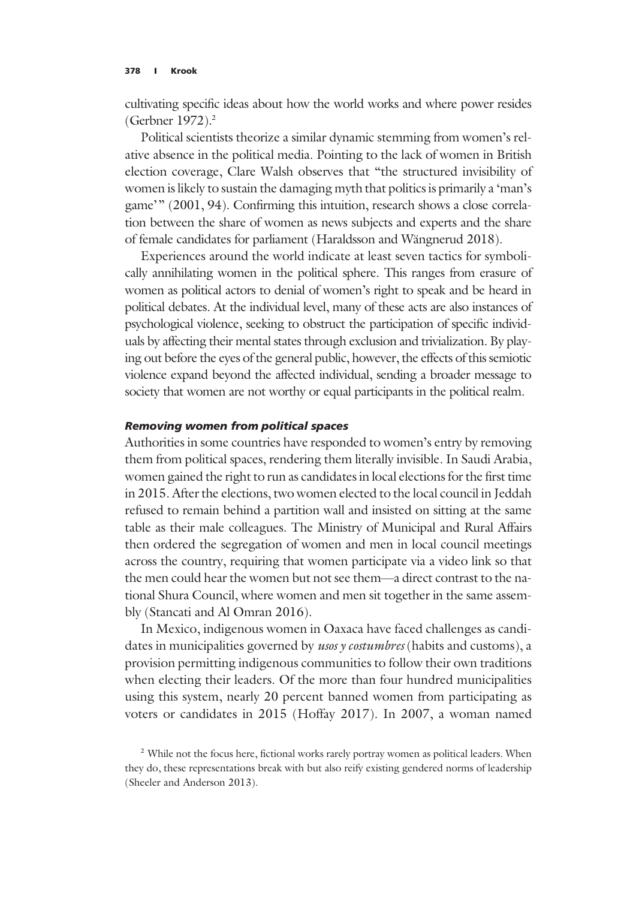cultivating specific ideas about how the world works and where power resides (Gerbner 1972).2

Political scientists theorize a similar dynamic stemming from women's relative absence in the political media. Pointing to the lack of women in British election coverage, Clare Walsh observes that "the structured invisibility of women is likely to sustain the damaging myth that politics is primarily a 'man's game'" (2001, 94). Confirming this intuition, research shows a close correlation between the share of women as news subjects and experts and the share of female candidates for parliament (Haraldsson and Wängnerud 2018).

Experiences around the world indicate at least seven tactics for symbolically annihilating women in the political sphere. This ranges from erasure of women as political actors to denial of women's right to speak and be heard in political debates. At the individual level, many of these acts are also instances of psychological violence, seeking to obstruct the participation of specific individuals by affecting their mental states through exclusion and trivialization. By playing out before the eyes of the general public, however, the effects of this semiotic violence expand beyond the affected individual, sending a broader message to society that women are not worthy or equal participants in the political realm.

## Removing women from political spaces

Authorities in some countries have responded to women's entry by removing them from political spaces, rendering them literally invisible. In Saudi Arabia, women gained the right to run as candidates in local elections for the first time in 2015. After the elections, two women elected to the local council in Jeddah refused to remain behind a partition wall and insisted on sitting at the same table as their male colleagues. The Ministry of Municipal and Rural Affairs then ordered the segregation of women and men in local council meetings across the country, requiring that women participate via a video link so that the men could hear the women but not see them—a direct contrast to the national Shura Council, where women and men sit together in the same assembly (Stancati and Al Omran 2016).

In Mexico, indigenous women in Oaxaca have faced challenges as candidates in municipalities governed by usos y costumbres (habits and customs), a provision permitting indigenous communities to follow their own traditions when electing their leaders. Of the more than four hundred municipalities using this system, nearly 20 percent banned women from participating as voters or candidates in 2015 (Hoffay 2017). In 2007, a woman named

<sup>&</sup>lt;sup>2</sup> While not the focus here, fictional works rarely portray women as political leaders. When they do, these representations break with but also reify existing gendered norms of leadership (Sheeler and Anderson 2013).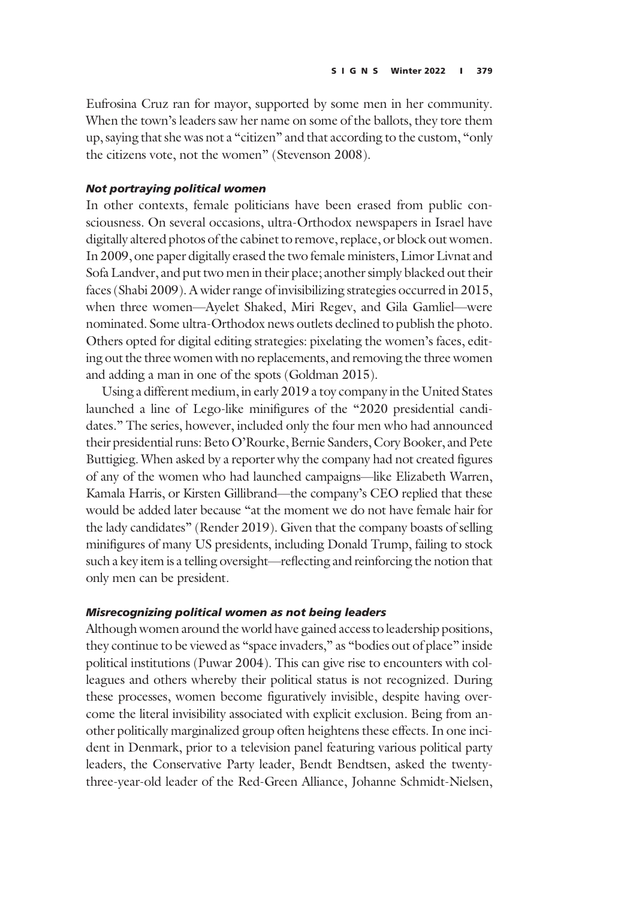Eufrosina Cruz ran for mayor, supported by some men in her community. When the town's leaders saw her name on some of the ballots, they tore them up, saying that she was not a "citizen" and that according to the custom, "only the citizens vote, not the women" (Stevenson 2008).

## Not portraying political women

In other contexts, female politicians have been erased from public consciousness. On several occasions, ultra-Orthodox newspapers in Israel have digitally altered photos of the cabinet to remove, replace, or block out women. In 2009, one paper digitally erased the two female ministers, Limor Livnat and Sofa Landver, and put two men in their place; another simply blacked out their faces (Shabi 2009). A wider range of invisibilizing strategies occurred in 2015, when three women—Ayelet Shaked, Miri Regev, and Gila Gamliel—were nominated. Some ultra-Orthodox news outlets declined to publish the photo. Others opted for digital editing strategies: pixelating the women's faces, editing out the three women with no replacements, and removing the three women and adding a man in one of the spots (Goldman 2015).

Using a different medium, in early 2019 a toy company in the United States launched a line of Lego-like minifigures of the "2020 presidential candidates." The series, however, included only the four men who had announced their presidential runs: Beto O'Rourke, Bernie Sanders, Cory Booker, and Pete Buttigieg. When asked by a reporter why the company had not created figures of any of the women who had launched campaigns—like Elizabeth Warren, Kamala Harris, or Kirsten Gillibrand—the company's CEO replied that these would be added later because "at the moment we do not have female hair for the lady candidates" (Render 2019). Given that the company boasts of selling minifigures of many US presidents, including Donald Trump, failing to stock such a key item is a telling oversight—reflecting and reinforcing the notion that only men can be president.

## Misrecognizing political women as not being leaders

Although women around the world have gained access to leadership positions, they continue to be viewed as "space invaders," as "bodies out of place" inside political institutions (Puwar 2004). This can give rise to encounters with colleagues and others whereby their political status is not recognized. During these processes, women become figuratively invisible, despite having overcome the literal invisibility associated with explicit exclusion. Being from another politically marginalized group often heightens these effects. In one incident in Denmark, prior to a television panel featuring various political party leaders, the Conservative Party leader, Bendt Bendtsen, asked the twentythree-year-old leader of the Red-Green Alliance, Johanne Schmidt-Nielsen,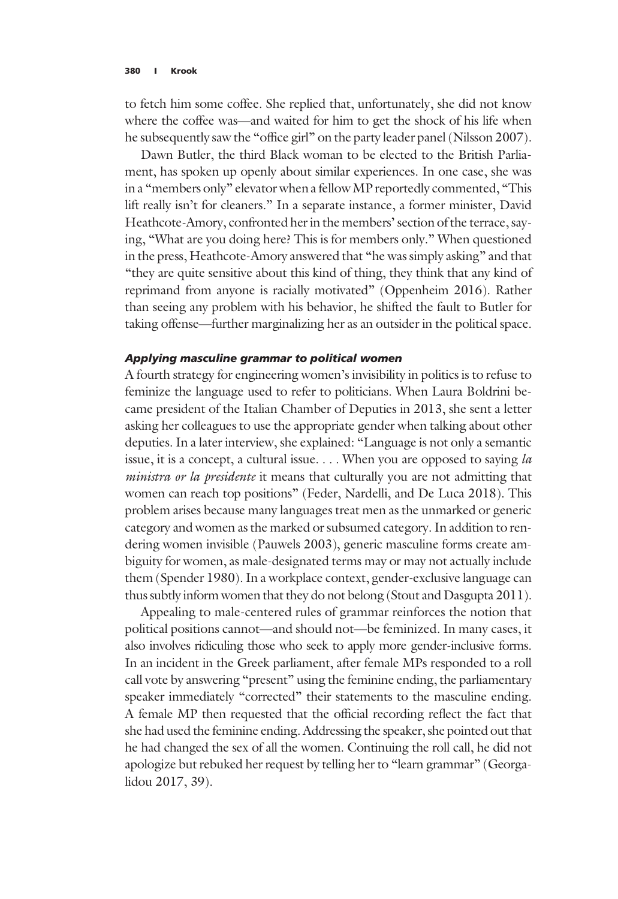to fetch him some coffee. She replied that, unfortunately, she did not know where the coffee was—and waited for him to get the shock of his life when he subsequently saw the "office girl" on the party leader panel (Nilsson 2007).

Dawn Butler, the third Black woman to be elected to the British Parliament, has spoken up openly about similar experiences. In one case, she was in a "members only" elevator when a fellowMP reportedly commented, "This lift really isn't for cleaners." In a separate instance, a former minister, David Heathcote-Amory, confronted her in the members'section of the terrace, saying, "What are you doing here? This is for members only." When questioned in the press, Heathcote-Amory answered that "he was simply asking" and that "they are quite sensitive about this kind of thing, they think that any kind of reprimand from anyone is racially motivated" (Oppenheim 2016). Rather than seeing any problem with his behavior, he shifted the fault to Butler for taking offense—further marginalizing her as an outsider in the political space.

## Applying masculine grammar to political women

A fourth strategy for engineering women's invisibility in politics is to refuse to feminize the language used to refer to politicians. When Laura Boldrini became president of the Italian Chamber of Deputies in 2013, she sent a letter asking her colleagues to use the appropriate gender when talking about other deputies. In a later interview, she explained: "Language is not only a semantic issue, it is a concept, a cultural issue.  $\dots$  When you are opposed to saying *la* ministra or la presidente it means that culturally you are not admitting that women can reach top positions" (Feder, Nardelli, and De Luca 2018). This problem arises because many languages treat men as the unmarked or generic category and women as the marked or subsumed category. In addition to rendering women invisible (Pauwels 2003), generic masculine forms create ambiguity for women, as male-designated terms may or may not actually include them (Spender 1980). In a workplace context, gender-exclusive language can thus subtly inform women that they do not belong (Stout and Dasgupta 2011).

Appealing to male-centered rules of grammar reinforces the notion that political positions cannot—and should not—be feminized. In many cases, it also involves ridiculing those who seek to apply more gender-inclusive forms. In an incident in the Greek parliament, after female MPs responded to a roll call vote by answering "present" using the feminine ending, the parliamentary speaker immediately "corrected" their statements to the masculine ending. A female MP then requested that the official recording reflect the fact that she had used the feminine ending. Addressing the speaker, she pointed out that he had changed the sex of all the women. Continuing the roll call, he did not apologize but rebuked her request by telling her to "learn grammar" (Georgalidou 2017, 39).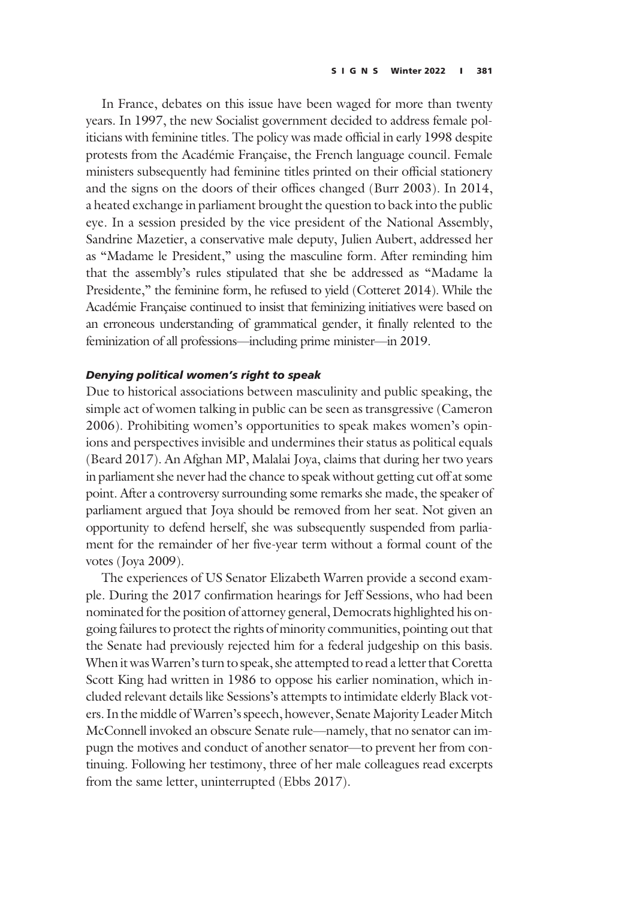In France, debates on this issue have been waged for more than twenty years. In 1997, the new Socialist government decided to address female politicians with feminine titles. The policy was made official in early 1998 despite protests from the Académie Française, the French language council. Female ministers subsequently had feminine titles printed on their official stationery and the signs on the doors of their offices changed (Burr 2003). In 2014, a heated exchange in parliament brought the question to back into the public eye. In a session presided by the vice president of the National Assembly, Sandrine Mazetier, a conservative male deputy, Julien Aubert, addressed her as "Madame le President," using the masculine form. After reminding him that the assembly's rules stipulated that she be addressed as "Madame la Presidente," the feminine form, he refused to yield (Cotteret 2014). While the Académie Française continued to insist that feminizing initiatives were based on an erroneous understanding of grammatical gender, it finally relented to the feminization of all professions—including prime minister—in 2019.

## Denying political women's right to speak

Due to historical associations between masculinity and public speaking, the simple act of women talking in public can be seen as transgressive (Cameron 2006). Prohibiting women's opportunities to speak makes women's opinions and perspectives invisible and undermines their status as political equals (Beard 2017). An Afghan MP, Malalai Joya, claims that during her two years in parliament she never had the chance to speak without getting cut off at some point. After a controversy surrounding some remarks she made, the speaker of parliament argued that Joya should be removed from her seat. Not given an opportunity to defend herself, she was subsequently suspended from parliament for the remainder of her five-year term without a formal count of the votes (Joya 2009).

The experiences of US Senator Elizabeth Warren provide a second example. During the 2017 confirmation hearings for Jeff Sessions, who had been nominated for the position of attorney general, Democrats highlighted his ongoing failures to protect the rights of minority communities, pointing out that the Senate had previously rejected him for a federal judgeship on this basis. When it was Warren's turn to speak, she attempted to read a letter that Coretta Scott King had written in 1986 to oppose his earlier nomination, which included relevant details like Sessions's attempts to intimidate elderly Black voters. In the middle of Warren's speech, however, Senate Majority Leader Mitch McConnell invoked an obscure Senate rule—namely, that no senator can impugn the motives and conduct of another senator—to prevent her from continuing. Following her testimony, three of her male colleagues read excerpts from the same letter, uninterrupted (Ebbs 2017).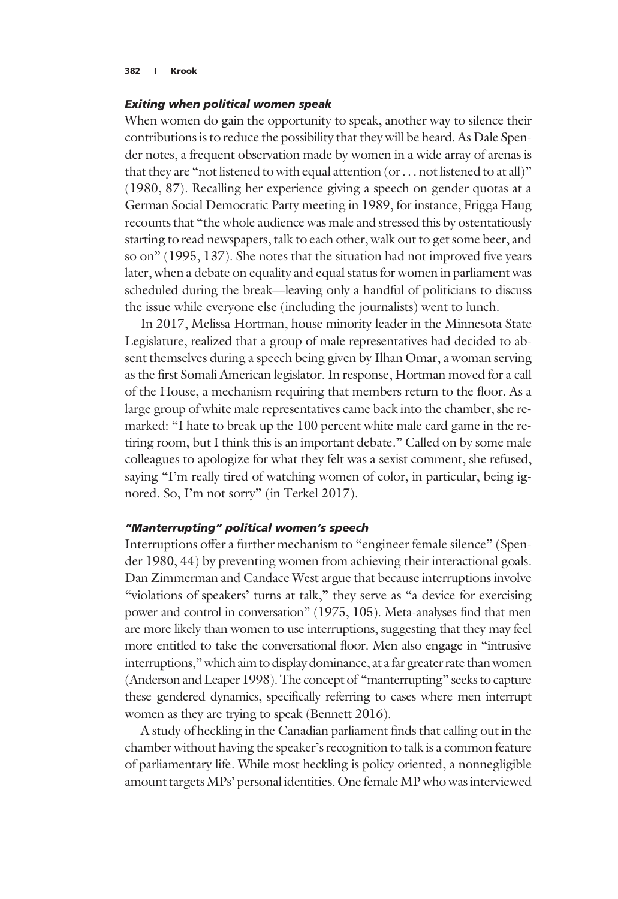## Exiting when political women speak

When women do gain the opportunity to speak, another way to silence their contributions is to reduce the possibility that they will be heard. As Dale Spender notes, a frequent observation made by women in a wide array of arenas is that they are "not listened to with equal attention (or... not listened to at all)" (1980, 87). Recalling her experience giving a speech on gender quotas at a German Social Democratic Party meeting in 1989, for instance, Frigga Haug recounts that "the whole audience was male and stressed this by ostentatiously starting to read newspapers, talk to each other, walk out to get some beer, and so on" (1995, 137). She notes that the situation had not improved five years later, when a debate on equality and equal status for women in parliament was scheduled during the break—leaving only a handful of politicians to discuss the issue while everyone else (including the journalists) went to lunch.

In 2017, Melissa Hortman, house minority leader in the Minnesota State Legislature, realized that a group of male representatives had decided to absent themselves during a speech being given by Ilhan Omar, a woman serving as the first Somali American legislator. In response, Hortman moved for a call of the House, a mechanism requiring that members return to the floor. As a large group of white male representatives came back into the chamber, she remarked: "I hate to break up the 100 percent white male card game in the retiring room, but I think this is an important debate." Called on by some male colleagues to apologize for what they felt was a sexist comment, she refused, saying "I'm really tired of watching women of color, in particular, being ignored. So, I'm not sorry" (in Terkel 2017).

### "Manterrupting" political women's speech

Interruptions offer a further mechanism to "engineer female silence" (Spender 1980, 44) by preventing women from achieving their interactional goals. Dan Zimmerman and Candace West argue that because interruptions involve "violations of speakers' turns at talk," they serve as "a device for exercising power and control in conversation" (1975, 105). Meta-analyses find that men are more likely than women to use interruptions, suggesting that they may feel more entitled to take the conversational floor. Men also engage in "intrusive interruptions," which aim to display dominance, at a far greater rate than women (Anderson and Leaper 1998). The concept of "manterrupting" seeks to capture these gendered dynamics, specifically referring to cases where men interrupt women as they are trying to speak (Bennett 2016).

A study of heckling in the Canadian parliament finds that calling out in the chamber without having the speaker's recognition to talk is a common feature of parliamentary life. While most heckling is policy oriented, a nonnegligible amount targets MPs' personal identities. One female MP who was interviewed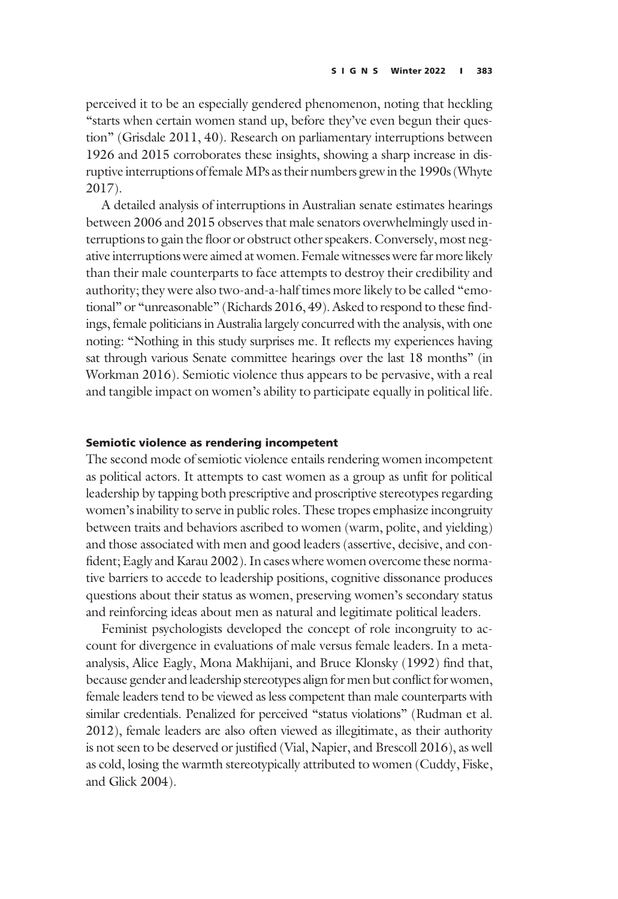perceived it to be an especially gendered phenomenon, noting that heckling "starts when certain women stand up, before they've even begun their question" (Grisdale 2011, 40). Research on parliamentary interruptions between 1926 and 2015 corroborates these insights, showing a sharp increase in disruptive interruptions of femaleMPs as their numbers grew in the 1990s (Whyte 2017).

A detailed analysis of interruptions in Australian senate estimates hearings between 2006 and 2015 observes that male senators overwhelmingly used interruptions to gain the floor or obstruct other speakers. Conversely, most negative interruptions were aimed at women. Female witnesses were far more likely than their male counterparts to face attempts to destroy their credibility and authority; they were also two-and-a-half times more likely to be called "emotional" or "unreasonable" (Richards 2016, 49). Asked to respond to these findings, female politicians in Australia largely concurred with the analysis, with one noting: "Nothing in this study surprises me. It reflects my experiences having sat through various Senate committee hearings over the last 18 months" (in Workman 2016). Semiotic violence thus appears to be pervasive, with a real and tangible impact on women's ability to participate equally in political life.

#### Semiotic violence as rendering incompetent

The second mode of semiotic violence entails rendering women incompetent as political actors. It attempts to cast women as a group as unfit for political leadership by tapping both prescriptive and proscriptive stereotypes regarding women's inability to serve in public roles. These tropes emphasize incongruity between traits and behaviors ascribed to women (warm, polite, and yielding) and those associated with men and good leaders (assertive, decisive, and confident; Eagly and Karau 2002). In cases where women overcome these normative barriers to accede to leadership positions, cognitive dissonance produces questions about their status as women, preserving women's secondary status and reinforcing ideas about men as natural and legitimate political leaders.

Feminist psychologists developed the concept of role incongruity to account for divergence in evaluations of male versus female leaders. In a metaanalysis, Alice Eagly, Mona Makhijani, and Bruce Klonsky (1992) find that, because gender and leadership stereotypes align for men but conflict for women, female leaders tend to be viewed as less competent than male counterparts with similar credentials. Penalized for perceived "status violations" (Rudman et al. 2012), female leaders are also often viewed as illegitimate, as their authority is not seen to be deserved or justified (Vial, Napier, and Brescoll 2016), as well as cold, losing the warmth stereotypically attributed to women (Cuddy, Fiske, and Glick 2004).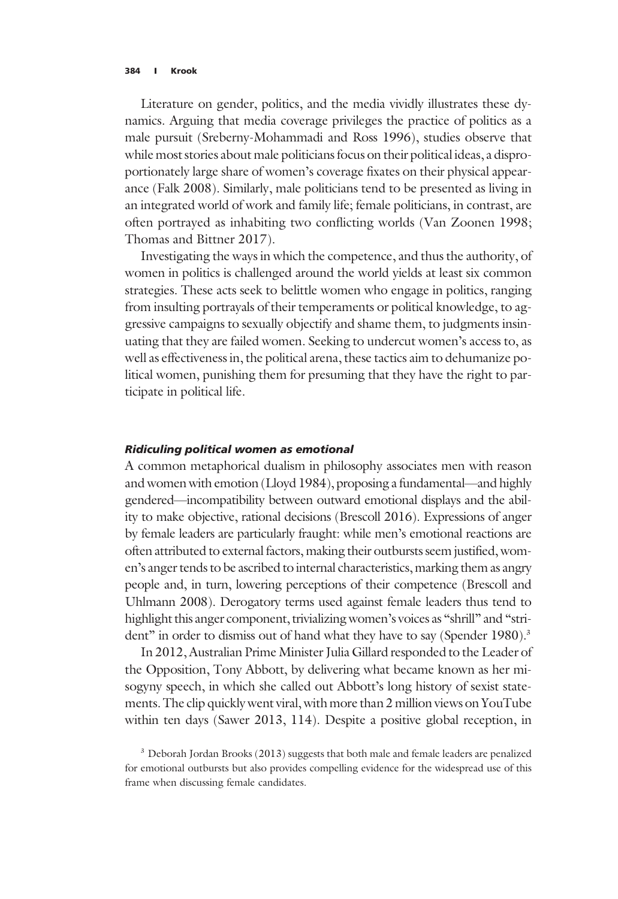Literature on gender, politics, and the media vividly illustrates these dynamics. Arguing that media coverage privileges the practice of politics as a male pursuit (Sreberny-Mohammadi and Ross 1996), studies observe that while most stories about male politicians focus on their political ideas, a disproportionately large share of women's coverage fixates on their physical appearance (Falk 2008). Similarly, male politicians tend to be presented as living in an integrated world of work and family life; female politicians, in contrast, are often portrayed as inhabiting two conflicting worlds (Van Zoonen 1998; Thomas and Bittner 2017).

Investigating the ways in which the competence, and thus the authority, of women in politics is challenged around the world yields at least six common strategies. These acts seek to belittle women who engage in politics, ranging from insulting portrayals of their temperaments or political knowledge, to aggressive campaigns to sexually objectify and shame them, to judgments insinuating that they are failed women. Seeking to undercut women's access to, as well as effectiveness in, the political arena, these tactics aim to dehumanize political women, punishing them for presuming that they have the right to participate in political life.

#### Ridiculing political women as emotional

A common metaphorical dualism in philosophy associates men with reason and women with emotion (Lloyd 1984), proposing a fundamental—and highly gendered—incompatibility between outward emotional displays and the ability to make objective, rational decisions (Brescoll 2016). Expressions of anger by female leaders are particularly fraught: while men's emotional reactions are often attributed to external factors, making their outbursts seem justified, women's anger tends to be ascribed to internal characteristics, marking them as angry people and, in turn, lowering perceptions of their competence (Brescoll and Uhlmann 2008). Derogatory terms used against female leaders thus tend to highlight this anger component, trivializing women's voices as "shrill" and "strident" in order to dismiss out of hand what they have to say (Spender 1980).<sup>3</sup>

In 2012, Australian Prime Minister Julia Gillard responded to the Leader of the Opposition, Tony Abbott, by delivering what became known as her misogyny speech, in which she called out Abbott's long history of sexist statements. The clip quickly went viral, with more than 2 million views on YouTube within ten days (Sawer 2013, 114). Despite a positive global reception, in

<sup>&</sup>lt;sup>3</sup> Deborah Jordan Brooks (2013) suggests that both male and female leaders are penalized for emotional outbursts but also provides compelling evidence for the widespread use of this frame when discussing female candidates.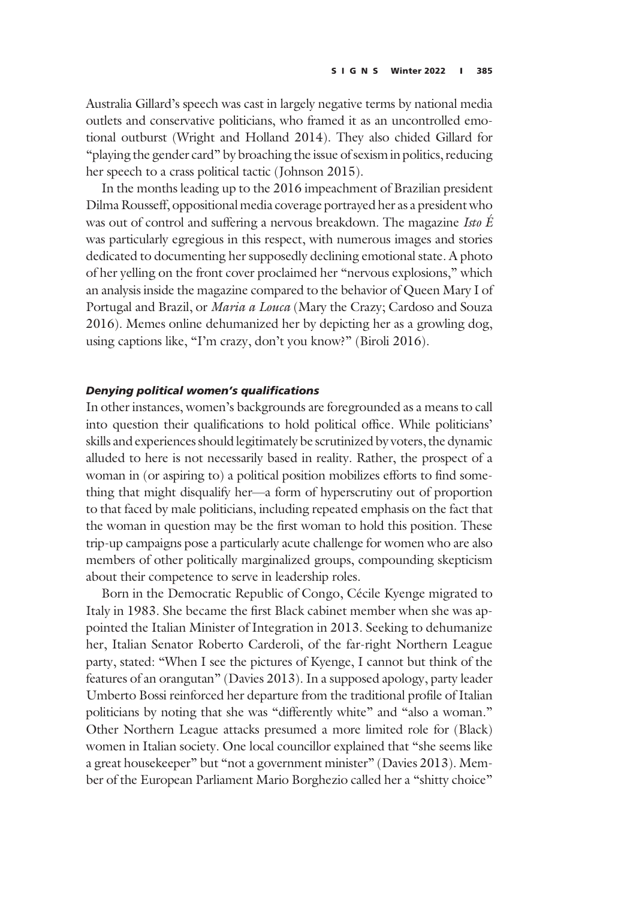Australia Gillard's speech was cast in largely negative terms by national media outlets and conservative politicians, who framed it as an uncontrolled emotional outburst (Wright and Holland 2014). They also chided Gillard for "playing the gender card" by broaching the issue of sexism in politics, reducing her speech to a crass political tactic (Johnson 2015).

In the months leading up to the 2016 impeachment of Brazilian president Dilma Rousseff, oppositional media coverage portrayed her as a president who was out of control and suffering a nervous breakdown. The magazine Isto E was particularly egregious in this respect, with numerous images and stories dedicated to documenting her supposedly declining emotional state. A photo of her yelling on the front cover proclaimed her "nervous explosions," which an analysis inside the magazine compared to the behavior of Queen Mary I of Portugal and Brazil, or Maria a Louca (Mary the Crazy; Cardoso and Souza 2016). Memes online dehumanized her by depicting her as a growling dog, using captions like, "I'm crazy, don't you know?" (Biroli 2016).

## Denying political women's qualifications

In other instances, women's backgrounds are foregrounded as a means to call into question their qualifications to hold political office. While politicians' skills and experiences should legitimately be scrutinized by voters, the dynamic alluded to here is not necessarily based in reality. Rather, the prospect of a woman in (or aspiring to) a political position mobilizes efforts to find something that might disqualify her—a form of hyperscrutiny out of proportion to that faced by male politicians, including repeated emphasis on the fact that the woman in question may be the first woman to hold this position. These trip-up campaigns pose a particularly acute challenge for women who are also members of other politically marginalized groups, compounding skepticism about their competence to serve in leadership roles.

Born in the Democratic Republic of Congo, Cécile Kyenge migrated to Italy in 1983. She became the first Black cabinet member when she was appointed the Italian Minister of Integration in 2013. Seeking to dehumanize her, Italian Senator Roberto Carderoli, of the far-right Northern League party, stated: "When I see the pictures of Kyenge, I cannot but think of the features of an orangutan" (Davies 2013). In a supposed apology, party leader Umberto Bossi reinforced her departure from the traditional profile of Italian politicians by noting that she was "differently white" and "also a woman." Other Northern League attacks presumed a more limited role for (Black) women in Italian society. One local councillor explained that "she seems like a great housekeeper" but "not a government minister" (Davies 2013). Member of the European Parliament Mario Borghezio called her a "shitty choice"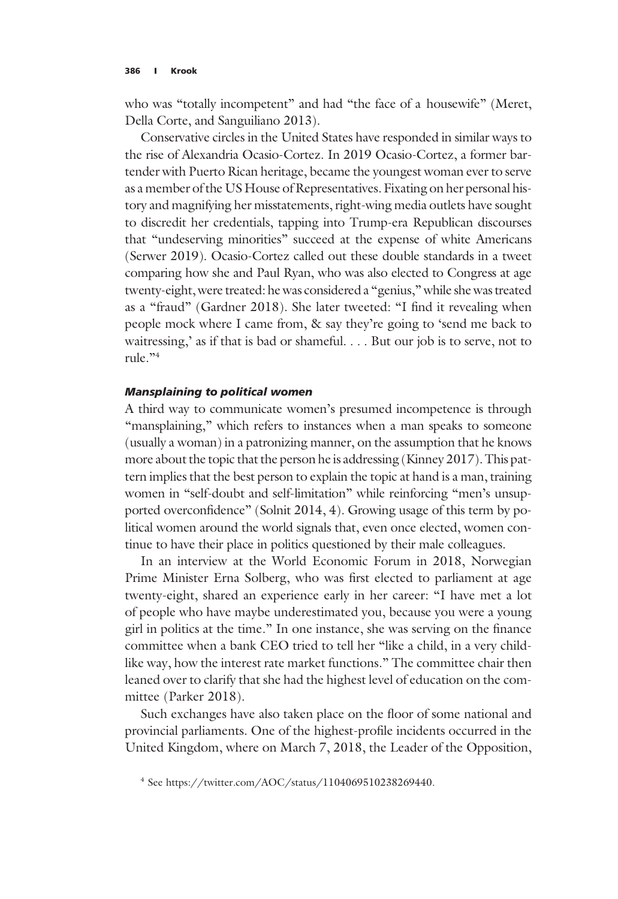who was "totally incompetent" and had "the face of a housewife" (Meret, Della Corte, and Sanguiliano 2013).

Conservative circles in the United States have responded in similar ways to the rise of Alexandria Ocasio-Cortez. In 2019 Ocasio-Cortez, a former bartender with Puerto Rican heritage, became the youngest woman ever to serve as a member of the US House of Representatives. Fixating on her personal history and magnifying her misstatements, right-wing media outlets have sought to discredit her credentials, tapping into Trump-era Republican discourses that "undeserving minorities" succeed at the expense of white Americans (Serwer 2019). Ocasio-Cortez called out these double standards in a tweet comparing how she and Paul Ryan, who was also elected to Congress at age twenty-eight, were treated: he was considered a "genius," while she was treated as a "fraud" (Gardner 2018). She later tweeted: "I find it revealing when people mock where I came from, & say they're going to 'send me back to waitressing,' as if that is bad or shameful. . . . But our job is to serve, not to rule."<sup>4</sup>

#### Mansplaining to political women

A third way to communicate women's presumed incompetence is through "mansplaining," which refers to instances when a man speaks to someone (usually a woman) in a patronizing manner, on the assumption that he knows more about the topic that the person he is addressing (Kinney 2017). This pattern implies that the best person to explain the topic at hand is a man, training women in "self-doubt and self-limitation" while reinforcing "men's unsupported overconfidence" (Solnit 2014, 4). Growing usage of this term by political women around the world signals that, even once elected, women continue to have their place in politics questioned by their male colleagues.

In an interview at the World Economic Forum in 2018, Norwegian Prime Minister Erna Solberg, who was first elected to parliament at age twenty-eight, shared an experience early in her career: "I have met a lot of people who have maybe underestimated you, because you were a young girl in politics at the time." In one instance, she was serving on the finance committee when a bank CEO tried to tell her "like a child, in a very childlike way, how the interest rate market functions." The committee chair then leaned over to clarify that she had the highest level of education on the committee (Parker 2018).

Such exchanges have also taken place on the floor of some national and provincial parliaments. One of the highest-profile incidents occurred in the United Kingdom, where on March 7, 2018, the Leader of the Opposition,

<sup>4</sup> See<https://twitter.com/AOC/status/1104069510238269440>.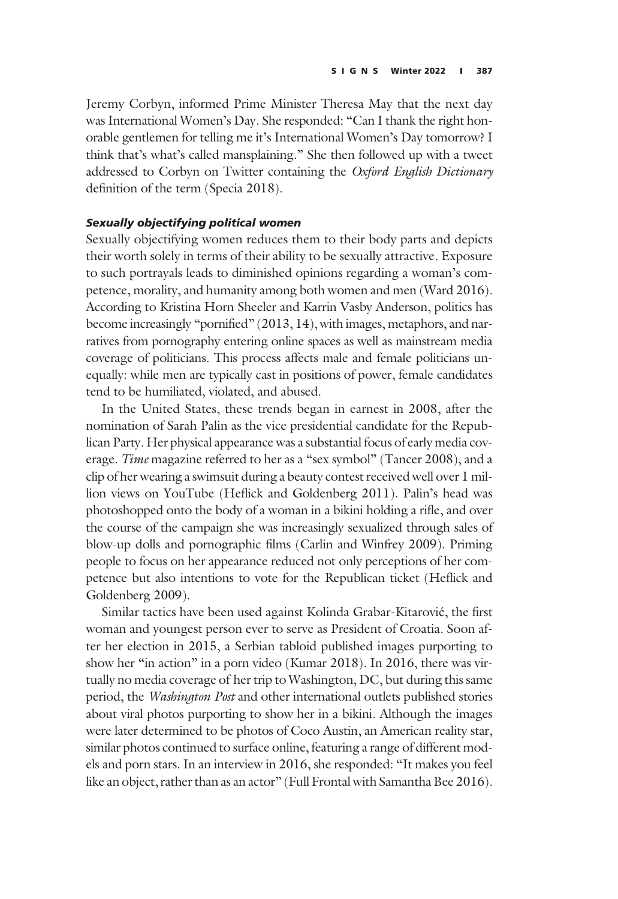Jeremy Corbyn, informed Prime Minister Theresa May that the next day was International Women's Day. She responded: "Can I thank the right honorable gentlemen for telling me it's International Women's Day tomorrow? I think that's what's called mansplaining." She then followed up with a tweet addressed to Corbyn on Twitter containing the Oxford English Dictionary definition of the term (Specia 2018).

## Sexually objectifying political women

Sexually objectifying women reduces them to their body parts and depicts their worth solely in terms of their ability to be sexually attractive. Exposure to such portrayals leads to diminished opinions regarding a woman's competence, morality, and humanity among both women and men (Ward 2016). According to Kristina Horn Sheeler and Karrin Vasby Anderson, politics has become increasingly "pornified" (2013, 14), with images, metaphors, and narratives from pornography entering online spaces as well as mainstream media coverage of politicians. This process affects male and female politicians unequally: while men are typically cast in positions of power, female candidates tend to be humiliated, violated, and abused.

In the United States, these trends began in earnest in 2008, after the nomination of Sarah Palin as the vice presidential candidate for the Republican Party. Her physical appearance was a substantial focus of early media coverage. Time magazine referred to her as a "sex symbol" (Tancer 2008), and a clip of her wearing a swimsuit during a beauty contest received well over 1 million views on YouTube (Heflick and Goldenberg 2011). Palin's head was photoshopped onto the body of a woman in a bikini holding a rifle, and over the course of the campaign she was increasingly sexualized through sales of blow-up dolls and pornographic films (Carlin and Winfrey 2009). Priming people to focus on her appearance reduced not only perceptions of her competence but also intentions to vote for the Republican ticket (Heflick and Goldenberg 2009).

Similar tactics have been used against Kolinda Grabar-Kitarović, the first woman and youngest person ever to serve as President of Croatia. Soon after her election in 2015, a Serbian tabloid published images purporting to show her "in action" in a porn video (Kumar 2018). In 2016, there was virtually no media coverage of her trip to Washington, DC, but during this same period, the Washington Post and other international outlets published stories about viral photos purporting to show her in a bikini. Although the images were later determined to be photos of Coco Austin, an American reality star, similar photos continued to surface online, featuring a range of different models and porn stars. In an interview in 2016, she responded: "It makes you feel like an object, rather than as an actor" (Full Frontal with Samantha Bee 2016).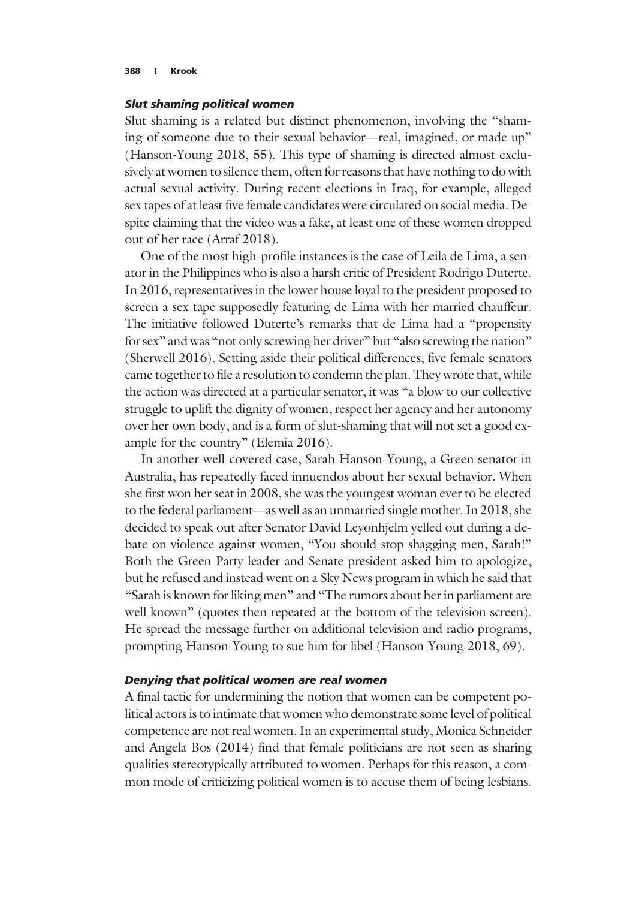## Slut shaming political women

Slut shaming is a related but distinct phenomenon, involving the "shaming of someone due to their sexual behavior—real, imagined, or made up" (Hanson-Young 2018, 55). This type of shaming is directed almost exclusively at women to silence them, often for reasons that have nothing to do with actual sexual activity. During recent elections in Iraq, for example, alleged sex tapes of at least five female candidates were circulated on social media. Despite claiming that the video was a fake, at least one of these women dropped out of her race (Arraf 2018).

One of the most high-profile instances is the case of Leila de Lima, a senator in the Philippines who is also a harsh critic of President Rodrigo Duterte. In 2016, representatives in the lower house loyal to the president proposed to screen a sex tape supposedly featuring de Lima with her married chauffeur. The initiative followed Duterte's remarks that de Lima had a "propensity for sex" and was "not only screwing her driver" but "also screwing the nation" (Sherwell 2016). Setting aside their political differences, five female senators came together to file a resolution to condemn the plan. They wrote that, while the action was directed at a particular senator, it was "a blow to our collective struggle to uplift the dignity of women, respect her agency and her autonomy over her own body, and is a form of slut-shaming that will not set a good example for the country" (Elemia 2016).

In another well-covered case, Sarah Hanson-Young, a Green senator in Australia, has repeatedly faced innuendos about her sexual behavior. When she first won her seat in 2008, she was the youngest woman ever to be elected to the federal parliament—as well as an unmarried single mother. In 2018, she decided to speak out after Senator David Leyonhjelm yelled out during a debate on violence against women, "You should stop shagging men, Sarah!" Both the Green Party leader and Senate president asked him to apologize, but he refused and instead went on a Sky News program in which he said that "Sarah is known for liking men" and "The rumors about her in parliament are well known" (quotes then repeated at the bottom of the television screen). He spread the message further on additional television and radio programs, prompting Hanson-Young to sue him for libel (Hanson-Young 2018, 69).

## Denying that political women are real women

A final tactic for undermining the notion that women can be competent political actors is to intimate that women who demonstrate some level of political competence are not real women. In an experimental study, Monica Schneider and Angela Bos (2014) find that female politicians are not seen as sharing qualities stereotypically attributed to women. Perhaps for this reason, a common mode of criticizing political women is to accuse them of being lesbians.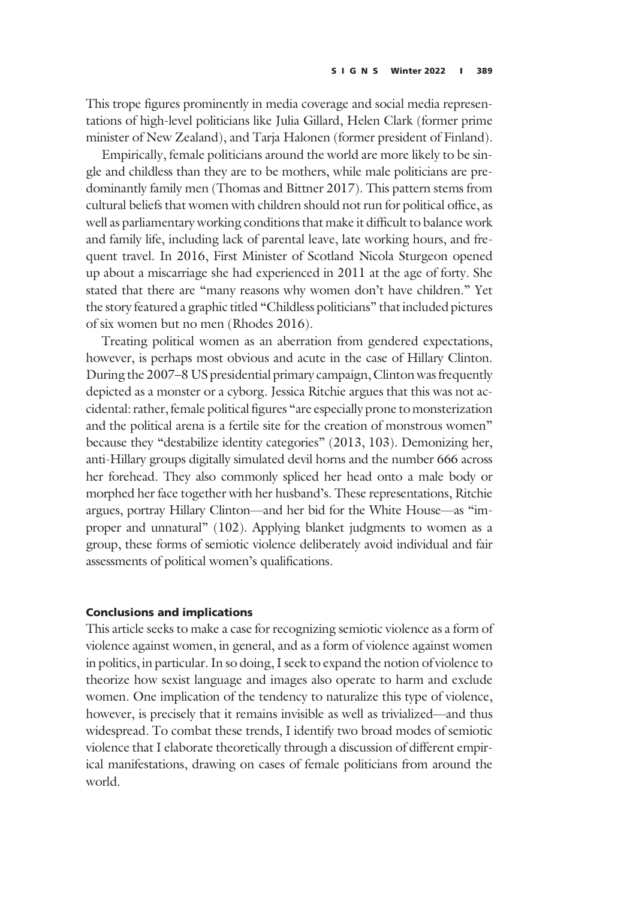This trope figures prominently in media coverage and social media representations of high-level politicians like Julia Gillard, Helen Clark (former prime minister of New Zealand), and Tarja Halonen (former president of Finland).

Empirically, female politicians around the world are more likely to be single and childless than they are to be mothers, while male politicians are predominantly family men (Thomas and Bittner 2017). This pattern stems from cultural beliefs that women with children should not run for political office, as well as parliamentary working conditions that make it difficult to balance work and family life, including lack of parental leave, late working hours, and frequent travel. In 2016, First Minister of Scotland Nicola Sturgeon opened up about a miscarriage she had experienced in 2011 at the age of forty. She stated that there are "many reasons why women don't have children." Yet the story featured a graphic titled "Childless politicians" that included pictures of six women but no men (Rhodes 2016).

Treating political women as an aberration from gendered expectations, however, is perhaps most obvious and acute in the case of Hillary Clinton. During the 2007–8 US presidential primary campaign, Clinton was frequently depicted as a monster or a cyborg. Jessica Ritchie argues that this was not accidental: rather, female political figures "are especially prone to monsterization and the political arena is a fertile site for the creation of monstrous women" because they "destabilize identity categories" (2013, 103). Demonizing her, anti-Hillary groups digitally simulated devil horns and the number 666 across her forehead. They also commonly spliced her head onto a male body or morphed her face together with her husband's. These representations, Ritchie argues, portray Hillary Clinton—and her bid for the White House—as "improper and unnatural" (102). Applying blanket judgments to women as a group, these forms of semiotic violence deliberately avoid individual and fair assessments of political women's qualifications.

## Conclusions and implications

This article seeks to make a case for recognizing semiotic violence as a form of violence against women, in general, and as a form of violence against women in politics, in particular. In so doing, I seek to expand the notion of violence to theorize how sexist language and images also operate to harm and exclude women. One implication of the tendency to naturalize this type of violence, however, is precisely that it remains invisible as well as trivialized—and thus widespread. To combat these trends, I identify two broad modes of semiotic violence that I elaborate theoretically through a discussion of different empirical manifestations, drawing on cases of female politicians from around the world.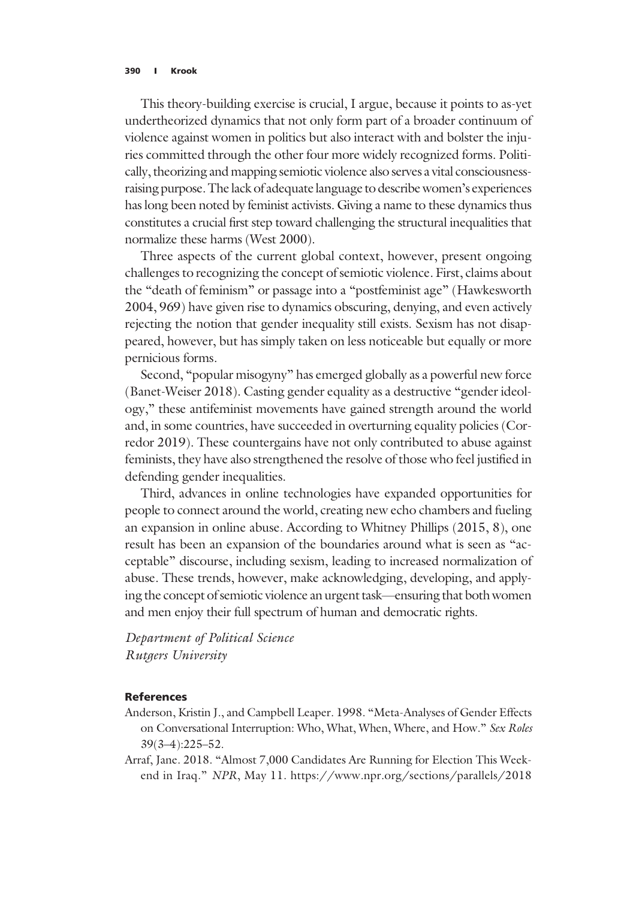This theory-building exercise is crucial, I argue, because it points to as-yet undertheorized dynamics that not only form part of a broader continuum of violence against women in politics but also interact with and bolster the injuries committed through the other four more widely recognized forms. Politically, theorizing and mapping semiotic violence also serves a vital consciousnessraising purpose. The lack of adequate language to describe women's experiences has long been noted by feminist activists. Giving a name to these dynamics thus constitutes a crucial first step toward challenging the structural inequalities that normalize these harms (West 2000).

Three aspects of the current global context, however, present ongoing challenges to recognizing the concept of semiotic violence. First, claims about the "death of feminism" or passage into a "postfeminist age" (Hawkesworth 2004, 969) have given rise to dynamics obscuring, denying, and even actively rejecting the notion that gender inequality still exists. Sexism has not disappeared, however, but has simply taken on less noticeable but equally or more pernicious forms.

Second, "popular misogyny" has emerged globally as a powerful new force (Banet-Weiser 2018). Casting gender equality as a destructive "gender ideology," these antifeminist movements have gained strength around the world and, in some countries, have succeeded in overturning equality policies (Corredor 2019). These countergains have not only contributed to abuse against feminists, they have also strengthened the resolve of those who feel justified in defending gender inequalities.

Third, advances in online technologies have expanded opportunities for people to connect around the world, creating new echo chambers and fueling an expansion in online abuse. According to Whitney Phillips (2015, 8), one result has been an expansion of the boundaries around what is seen as "acceptable" discourse, including sexism, leading to increased normalization of abuse. These trends, however, make acknowledging, developing, and applying the concept of semiotic violence an urgent task—ensuring that both women and men enjoy their full spectrum of human and democratic rights.

Department of Political Science Rutgers University

## References

- Anderson, Kristin J., and Campbell Leaper. 1998. "Meta-Analyses of Gender Effects on Conversational Interruption: Who, What, When, Where, and How." Sex Roles 39(3–4):225–52.
- Arraf, Jane. 2018. "Almost 7,000 Candidates Are Running for Election This Weekend in Iraq." NPR, May 11. [https://www.npr.org/sections/parallels/2018](https://www.npr.org/sections/parallels/2018/05/11/609695769/almost-7-000-candidates-are-running-for-election-this-weekend-in-iraq)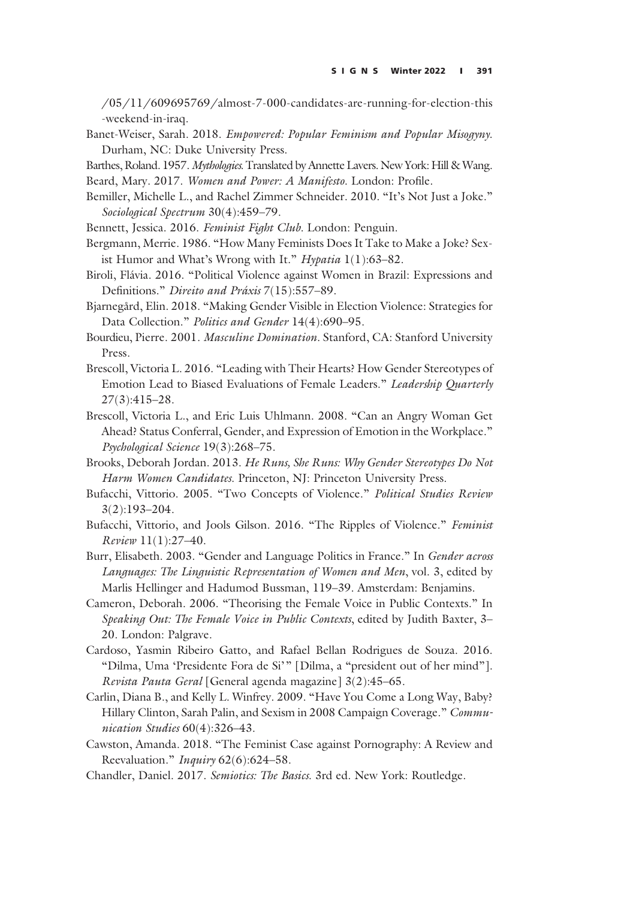[/05/11/609695769/almost-7-000-candidates-are-running-for-election-this](https://www.npr.org/sections/parallels/2018/05/11/609695769/almost-7-000-candidates-are-running-for-election-this-weekend-in-iraq) [-weekend-in-iraq](https://www.npr.org/sections/parallels/2018/05/11/609695769/almost-7-000-candidates-are-running-for-election-this-weekend-in-iraq).

Banet-Weiser, Sarah. 2018. Empowered: Popular Feminism and Popular Misogyny. Durham, NC: Duke University Press.

Barthes, Roland. 1957. Mythologies. Translated by Annette Lavers. New York: Hill & Wang.

Beard, Mary. 2017. Women and Power: A Manifesto. London: Profile.

Bemiller, Michelle L., and Rachel Zimmer Schneider. 2010. "It's Not Just a Joke." Sociological Spectrum 30(4):459–79.

Bennett, Jessica. 2016. Feminist Fight Club. London: Penguin.

- Bergmann, Merrie. 1986. "How Many Feminists Does It Take to Make a Joke? Sexist Humor and What's Wrong with It." Hypatia  $1(1):63-82$ .
- Biroli, Flávia. 2016. "Political Violence against Women in Brazil: Expressions and Definitions." Direito and Práxis 7(15):557–89.
- Bjarnegård, Elin. 2018. "Making Gender Visible in Election Violence: Strategies for Data Collection." Politics and Gender 14(4):690-95.
- Bourdieu, Pierre. 2001. Masculine Domination. Stanford, CA: Stanford University Press.
- Brescoll, Victoria L. 2016. "Leading with Their Hearts? How Gender Stereotypes of Emotion Lead to Biased Evaluations of Female Leaders." Leadership Quarterly 27(3):415–28.
- Brescoll, Victoria L., and Eric Luis Uhlmann. 2008. "Can an Angry Woman Get Ahead? Status Conferral, Gender, and Expression of Emotion in the Workplace." Psychological Science 19(3):268–75.
- Brooks, Deborah Jordan. 2013. He Runs, She Runs: Why Gender Stereotypes Do Not Harm Women Candidates. Princeton, NJ: Princeton University Press.
- Bufacchi, Vittorio. 2005. "Two Concepts of Violence." Political Studies Review 3(2):193–204.
- Bufacchi, Vittorio, and Jools Gilson. 2016. "The Ripples of Violence." Feminist Review 11(1):27–40.
- Burr, Elisabeth. 2003. "Gender and Language Politics in France." In Gender across Languages: The Linguistic Representation of Women and Men, vol. 3, edited by Marlis Hellinger and Hadumod Bussman, 119–39. Amsterdam: Benjamins.
- Cameron, Deborah. 2006. "Theorising the Female Voice in Public Contexts." In Speaking Out: The Female Voice in Public Contexts, edited by Judith Baxter, 3– 20. London: Palgrave.
- Cardoso, Yasmin Ribeiro Gatto, and Rafael Bellan Rodrigues de Souza. 2016. "Dilma, Uma 'Presidente Fora de Si' " [Dilma, a "president out of her mind"]. Revista Pauta Geral [General agenda magazine] 3(2):45–65.
- Carlin, Diana B., and Kelly L. Winfrey. 2009. "Have You Come a Long Way, Baby? Hillary Clinton, Sarah Palin, and Sexism in 2008 Campaign Coverage." Communication Studies 60(4):326–43.
- Cawston, Amanda. 2018. "The Feminist Case against Pornography: A Review and Reevaluation." Inquiry 62(6):624-58.
- Chandler, Daniel. 2017. Semiotics: The Basics. 3rd ed. New York: Routledge.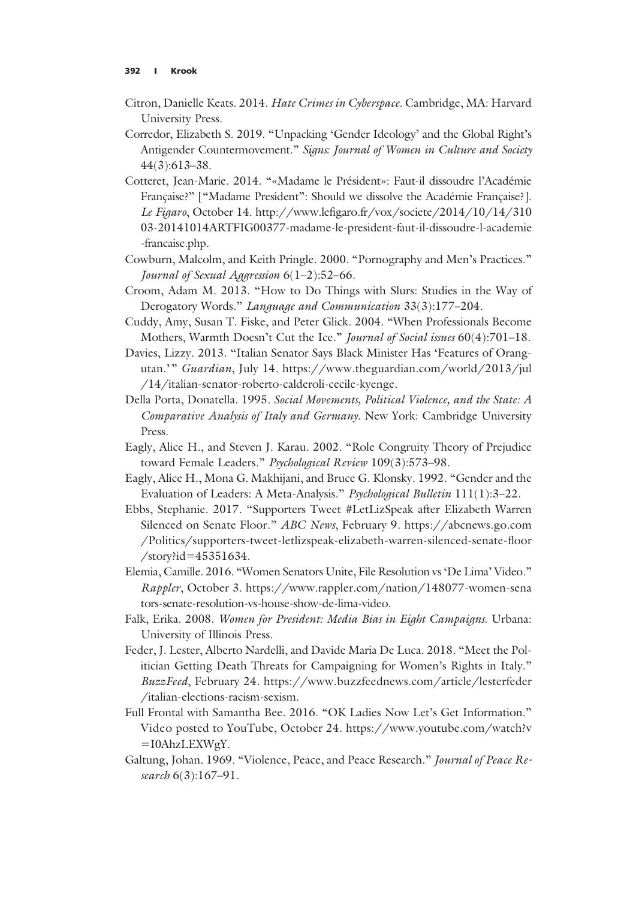- Citron, Danielle Keats. 2014. Hate Crimes in Cyberspace. Cambridge, MA: Harvard University Press.
- Corredor, Elizabeth S. 2019. "Unpacking 'Gender Ideology' and the Global Right's Antigender Countermovement." Signs: Journal of Women in Culture and Society 44(3):613–38.
- Cotteret, Jean-Marie. 2014. "«Madame le Président»: Faut-il dissoudre l'Académie Française?" ["Madame President": Should we dissolve the Académie Française?]. Le Figaro, October 14. http://www.lefi[garo.fr/vox/societe/2014/10/14/310](http://www.lefigaro.fr/vox/societe/2014/10/14/31003-20141014ARTFIG00377-madame-le-president-faut-il-dissoudre-l-academie-francaise.php) [03-20141014ARTFIG00377-madame-le-president-faut-il-dissoudre-l-academie](http://www.lefigaro.fr/vox/societe/2014/10/14/31003-20141014ARTFIG00377-madame-le-president-faut-il-dissoudre-l-academie-francaise.php) [-francaise.php](http://www.lefigaro.fr/vox/societe/2014/10/14/31003-20141014ARTFIG00377-madame-le-president-faut-il-dissoudre-l-academie-francaise.php).
- Cowburn, Malcolm, and Keith Pringle. 2000. "Pornography and Men's Practices." Journal of Sexual Aggression 6(1–2):52–66.
- Croom, Adam M. 2013. "How to Do Things with Slurs: Studies in the Way of Derogatory Words." Language and Communication 33(3):177–204.
- Cuddy, Amy, Susan T. Fiske, and Peter Glick. 2004. "When Professionals Become Mothers, Warmth Doesn't Cut the Ice." Journal of Social issues 60(4):701–18.
- Davies, Lizzy. 2013. "Italian Senator Says Black Minister Has 'Features of Orangutan.'" Guardian, July 14. [https://www.theguardian.com/world/2013/jul](https://www.theguardian.com/world/2013/jul/14/italian-senator-roberto-calderoli-cecile-kyenge) [/14/italian-senator-roberto-calderoli-cecile-kyenge.](https://www.theguardian.com/world/2013/jul/14/italian-senator-roberto-calderoli-cecile-kyenge)
- Della Porta, Donatella. 1995. Social Movements, Political Violence, and the State: A Comparative Analysis of Italy and Germany. New York: Cambridge University Press.
- Eagly, Alice H., and Steven J. Karau. 2002. "Role Congruity Theory of Prejudice toward Female Leaders." Psychological Review 109(3):573–98.
- Eagly, Alice H., Mona G. Makhijani, and Bruce G. Klonsky. 1992. "Gender and the Evaluation of Leaders: A Meta-Analysis." Psychological Bulletin 111(1):3–22.
- Ebbs, Stephanie. 2017. "Supporters Tweet #LetLizSpeak after Elizabeth Warren Silenced on Senate Floor." ABC News, February 9. [https://abcnews.go.com](https://abcnews.go.com/Politics/supporters-tweet-letlizspeak-elizabeth-warren-silenced-senate-floor/story?id=45351634) [/Politics/supporters-tweet-letlizspeak-elizabeth-warren-silenced-senate-](https://abcnews.go.com/Politics/supporters-tweet-letlizspeak-elizabeth-warren-silenced-senate-floor/story?id=45351634)floor  $\sqrt{\text{story}$ d=[45351634.](https://abcnews.go.com/Politics/supporters-tweet-letlizspeak-elizabeth-warren-silenced-senate-floor/story?id=45351634)
- Elemia, Camille. 2016. "Women Senators Unite, File Resolution vs'De Lima' Video." Rappler, October 3. [https://www.rappler.com/nation/148077-women-sena](https://www.rappler.com/nation/148077-women-senators-senate-resolution-vs-house-show-de-lima-video) [tors-senate-resolution-vs-house-show-de-lima-video.](https://www.rappler.com/nation/148077-women-senators-senate-resolution-vs-house-show-de-lima-video)
- Falk, Erika. 2008. Women for President: Media Bias in Eight Campaigns. Urbana: University of Illinois Press.
- Feder, J. Lester, Alberto Nardelli, and Davide Maria De Luca. 2018. "Meet the Politician Getting Death Threats for Campaigning for Women's Rights in Italy." BuzzFeed, February 24. [https://www.buzzfeednews.com/article/lesterfeder](https://www.buzzfeednews.com/article/lesterfeder/italian-elections-racism-sexism) [/italian-elections-racism-sexism](https://www.buzzfeednews.com/article/lesterfeder/italian-elections-racism-sexism).
- Full Frontal with Samantha Bee. 2016. "OK Ladies Now Let's Get Information." Video posted to YouTube, October 24. [https://www.youtube.com/watch?v](https://www.youtube.com/watch?v=I0AhzLEXWgY)  $=$ [I0AhzLEXWgY](https://www.youtube.com/watch?v=I0AhzLEXWgY).
- Galtung, Johan. 1969. "Violence, Peace, and Peace Research." Journal of Peace Research 6(3):167–91.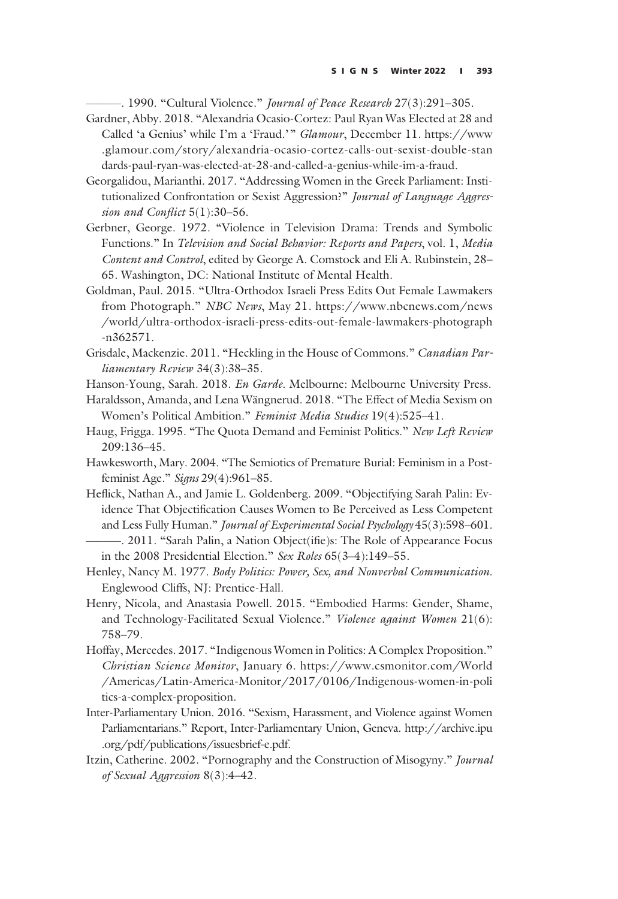<sup>22</sup> - 1990. "Cultural Violence." *Journal of Peace Research* 27(3):291-305.

- Gardner, Abby. 2018. "Alexandria Ocasio-Cortez: Paul Ryan Was Elected at 28 and Called 'a Genius' while I'm a 'Fraud.'" Glamour, December 11. [https://www](https://www.glamour.com/story/alexandria-ocasio-cortez-calls-out-sexist-double-standards-paul-ryan-was-elected-at-28-and-called-a-genius-while-im-a-fraud) [.glamour.com/story/alexandria-ocasio-cortez-calls-out-sexist-double-stan](https://www.glamour.com/story/alexandria-ocasio-cortez-calls-out-sexist-double-standards-paul-ryan-was-elected-at-28-and-called-a-genius-while-im-a-fraud) [dards-paul-ryan-was-elected-at-28-and-called-a-genius-while-im-a-fraud.](https://www.glamour.com/story/alexandria-ocasio-cortez-calls-out-sexist-double-standards-paul-ryan-was-elected-at-28-and-called-a-genius-while-im-a-fraud)
- Georgalidou, Marianthi. 2017. "Addressing Women in the Greek Parliament: Institutionalized Confrontation or Sexist Aggression?" Journal of Language Aggression and Conflict 5(1):30-56.
- Gerbner, George. 1972. "Violence in Television Drama: Trends and Symbolic Functions." In Television and Social Behavior: Reports and Papers, vol. 1, Media Content and Control, edited by George A. Comstock and Eli A. Rubinstein, 28– 65. Washington, DC: National Institute of Mental Health.
- Goldman, Paul. 2015. "Ultra-Orthodox Israeli Press Edits Out Female Lawmakers from Photograph." NBC News, May 21. [https://www.nbcnews.com/news](https://www.nbcnews.com/news/world/ultra-orthodox-israeli-press-edits-out-female-lawmakers-photograph-n362571) [/world/ultra-orthodox-israeli-press-edits-out-female-lawmakers-photograph](https://www.nbcnews.com/news/world/ultra-orthodox-israeli-press-edits-out-female-lawmakers-photograph-n362571) [-n362571.](https://www.nbcnews.com/news/world/ultra-orthodox-israeli-press-edits-out-female-lawmakers-photograph-n362571)
- Grisdale, Mackenzie. 2011. "Heckling in the House of Commons." Canadian Parliamentary Review 34(3):38–35.
- Hanson-Young, Sarah. 2018. En Garde. Melbourne: Melbourne University Press.
- Haraldsson, Amanda, and Lena Wängnerud. 2018. "The Effect of Media Sexism on Women's Political Ambition." Feminist Media Studies 19(4):525–41.
- Haug, Frigga. 1995. "The Quota Demand and Feminist Politics." New Left Review 209:136–45.
- Hawkesworth, Mary. 2004. "The Semiotics of Premature Burial: Feminism in a Postfeminist Age." Signs 29(4):961–85.
- Heflick, Nathan A., and Jamie L. Goldenberg. 2009. "Objectifying Sarah Palin: Evidence That Objectification Causes Women to Be Perceived as Less Competent and Less Fully Human." Journal of Experimental Social Psychology 45(3):598–601. ———. 2011. "Sarah Palin, a Nation Object(ifie)s: The Role of Appearance Focus
	- in the 2008 Presidential Election." Sex Roles 65(3–4):149–55.
- Henley, Nancy M. 1977. Body Politics: Power, Sex, and Nonverbal Communication. Englewood Cliffs, NJ: Prentice-Hall.
- Henry, Nicola, and Anastasia Powell. 2015. "Embodied Harms: Gender, Shame, and Technology-Facilitated Sexual Violence." Violence against Women 21(6): 758–79.
- Hoffay, Mercedes. 2017. "Indigenous Women in Politics: A Complex Proposition." Christian Science Monitor, January 6. [https://www.csmonitor.com/World](https://www.csmonitor.com/World/Americas/Latin-America-Monitor/2017/0106/Indigenous-women-in-politics-a-complex-proposition) [/Americas/Latin-America-Monitor/2017/0106/Indigenous-women-in-poli](https://www.csmonitor.com/World/Americas/Latin-America-Monitor/2017/0106/Indigenous-women-in-politics-a-complex-proposition) [tics-a-complex-proposition.](https://www.csmonitor.com/World/Americas/Latin-America-Monitor/2017/0106/Indigenous-women-in-politics-a-complex-proposition)
- Inter-Parliamentary Union. 2016. "Sexism, Harassment, and Violence against Women Parliamentarians." Report, Inter-Parliamentary Union, Geneva. [http://archive.ipu](http://archive.ipu.org/pdf/publications/issuesbrief-e.pdf) [.org/pdf/publications/issuesbrief-e.pdf.](http://archive.ipu.org/pdf/publications/issuesbrief-e.pdf)
- Itzin, Catherine. 2002. "Pornography and the Construction of Misogyny." Journal of Sexual Aggression 8(3):4–42.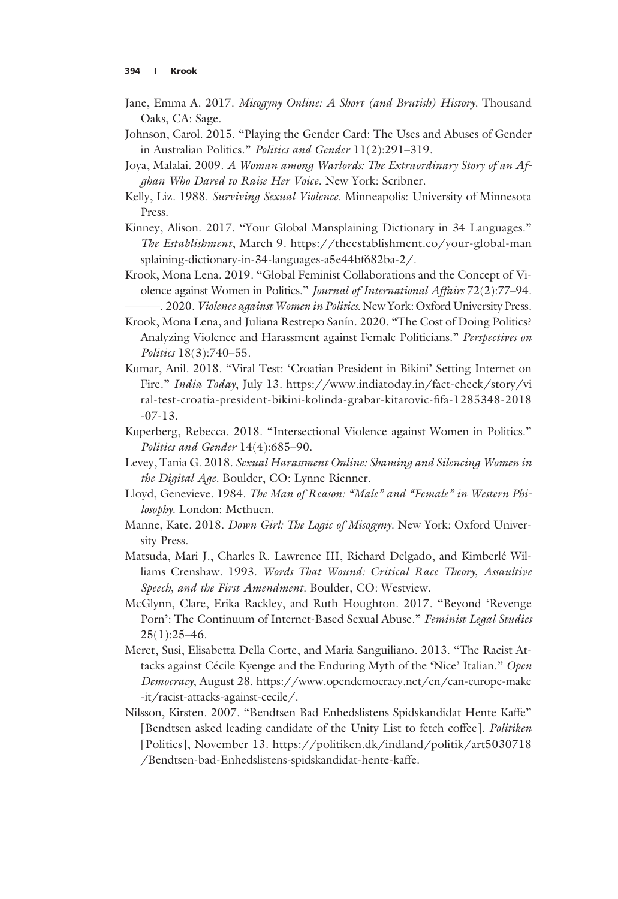- Jane, Emma A. 2017. Misogyny Online: A Short (and Brutish) History. Thousand Oaks, CA: Sage.
- Johnson, Carol. 2015. "Playing the Gender Card: The Uses and Abuses of Gender in Australian Politics." Politics and Gender 11(2):291–319.
- Joya, Malalai. 2009. A Woman among Warlords: The Extraordinary Story of an Afghan Who Dared to Raise Her Voice. New York: Scribner.
- Kelly, Liz. 1988. Surviving Sexual Violence. Minneapolis: University of Minnesota Press.
- Kinney, Alison. 2017. "Your Global Mansplaining Dictionary in 34 Languages." The Establishment, March 9. [https://theestablishment.co/your-global-man](https://theestablishment.co/your-global-mansplaining-dictionary-in-34-languages-a5e44bf682ba-2/) [splaining-dictionary-in-34-languages-a5e44bf682ba-2/](https://theestablishment.co/your-global-mansplaining-dictionary-in-34-languages-a5e44bf682ba-2/).
- Krook, Mona Lena. 2019. "Global Feminist Collaborations and the Concept of Violence against Women in Politics." Journal of International Affairs 72(2):77–94. –, 2020. *Violence against Women in Politics*. New York: Oxford University Press.
- Krook, Mona Lena, and Juliana Restrepo Sanín. 2020. "The Cost of Doing Politics? Analyzing Violence and Harassment against Female Politicians." Perspectives on Politics 18(3):740–55.
- Kumar, Anil. 2018. "Viral Test: 'Croatian President in Bikini' Setting Internet on Fire." India Today, July 13. [https://www.indiatoday.in/fact-check/story/vi](https://www.indiatoday.in/fact-check/story/viral-test-croatia-president-bikini-kolinda-grabar-kitarovic-fifa-1285348-2018-07-13) [ral-test-croatia-president-bikini-kolinda-grabar-kitarovic-](https://www.indiatoday.in/fact-check/story/viral-test-croatia-president-bikini-kolinda-grabar-kitarovic-fifa-1285348-2018-07-13)fifa-1285348-2018 [-07-13](https://www.indiatoday.in/fact-check/story/viral-test-croatia-president-bikini-kolinda-grabar-kitarovic-fifa-1285348-2018-07-13).
- Kuperberg, Rebecca. 2018. "Intersectional Violence against Women in Politics." Politics and Gender 14(4):685–90.
- Levey, Tania G. 2018. Sexual Harassment Online: Shaming and Silencing Women in the Digital Age. Boulder, CO: Lynne Rienner.
- Lloyd, Genevieve. 1984. The Man of Reason: "Male" and "Female" in Western Philosophy. London: Methuen.
- Manne, Kate. 2018. Down Girl: The Logic of Misogyny. New York: Oxford University Press.
- Matsuda, Mari J., Charles R. Lawrence III, Richard Delgado, and Kimberlé Williams Crenshaw. 1993. Words That Wound: Critical Race Theory, Assaultive Speech, and the First Amendment. Boulder, CO: Westview.
- McGlynn, Clare, Erika Rackley, and Ruth Houghton. 2017. "Beyond 'Revenge Porn': The Continuum of Internet-Based Sexual Abuse." Feminist Legal Studies 25(1):25–46.
- Meret, Susi, Elisabetta Della Corte, and Maria Sanguiliano. 2013. "The Racist Attacks against Cécile Kyenge and the Enduring Myth of the 'Nice' Italian." Open Democracy, August 28. [https://www.opendemocracy.net/en/can-europe-make](https://www.opendemocracy.net/en/can-europe-make-it/racist-attacks-against-cecile/) [-it/racist-attacks-against-cecile/](https://www.opendemocracy.net/en/can-europe-make-it/racist-attacks-against-cecile/).
- Nilsson, Kirsten. 2007. "Bendtsen Bad Enhedslistens Spidskandidat Hente Kaffe" [Bendtsen asked leading candidate of the Unity List to fetch coffee]. Politiken [Politics], November 13. [https://politiken.dk/indland/politik/art5030718](https://politiken.dk/indland/politik/art5030718/Bendtsen-bad-Enhedslistens-spidskandidat-hente-kaffe) [/Bendtsen-bad-Enhedslistens-spidskandidat-hente-kaffe.](https://politiken.dk/indland/politik/art5030718/Bendtsen-bad-Enhedslistens-spidskandidat-hente-kaffe)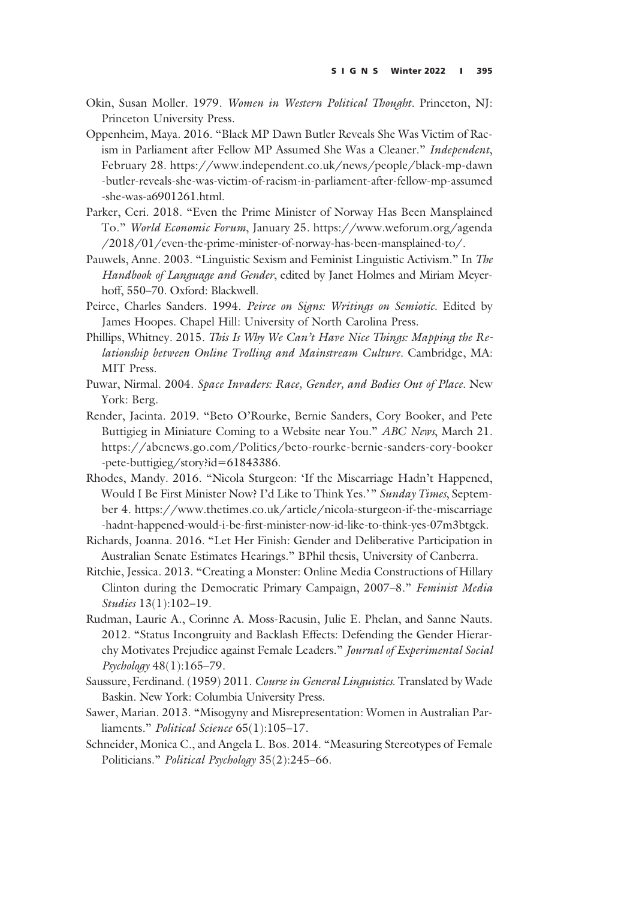- Okin, Susan Moller. 1979. Women in Western Political Thought. Princeton, NJ: Princeton University Press.
- Oppenheim, Maya. 2016. "Black MP Dawn Butler Reveals She Was Victim of Racism in Parliament after Fellow MP Assumed She Was a Cleaner." Independent, February 28. [https://www.independent.co.uk/news/people/black-mp-dawn](https://www.independent.co.uk/news/people/black-mp-dawn-butler-reveals-she-was-victim-of-racism-in-parliament-after-fellow-mp-assumed-she-was-a6901261.html) [-butler-reveals-she-was-victim-of-racism-in-parliament-after-fellow-mp-assumed](https://www.independent.co.uk/news/people/black-mp-dawn-butler-reveals-she-was-victim-of-racism-in-parliament-after-fellow-mp-assumed-she-was-a6901261.html) [-she-was-a6901261.html.](https://www.independent.co.uk/news/people/black-mp-dawn-butler-reveals-she-was-victim-of-racism-in-parliament-after-fellow-mp-assumed-she-was-a6901261.html)
- Parker, Ceri. 2018. "Even the Prime Minister of Norway Has Been Mansplained To." World Economic Forum, January 25. [https://www.weforum.org/agenda](https://www.weforum.org/agenda/2018/01/even-the-prime-minister-of-norway-has-been-mansplained-to/) [/2018/01/even-the-prime-minister-of-norway-has-been-mansplained-to/.](https://www.weforum.org/agenda/2018/01/even-the-prime-minister-of-norway-has-been-mansplained-to/)
- Pauwels, Anne. 2003. "Linguistic Sexism and Feminist Linguistic Activism." In The Handbook of Language and Gender, edited by Janet Holmes and Miriam Meyerhoff, 550–70. Oxford: Blackwell.
- Peirce, Charles Sanders. 1994. Peirce on Signs: Writings on Semiotic. Edited by James Hoopes. Chapel Hill: University of North Carolina Press.
- Phillips, Whitney. 2015. This Is Why We Can't Have Nice Things: Mapping the Relationship between Online Trolling and Mainstream Culture. Cambridge, MA: MIT Press.
- Puwar, Nirmal. 2004. Space Invaders: Race, Gender, and Bodies Out of Place. New York: Berg.
- Render, Jacinta. 2019. "Beto O'Rourke, Bernie Sanders, Cory Booker, and Pete Buttigieg in Miniature Coming to a Website near You." ABC News, March 21. [https://abcnews.go.com/Politics/beto-rourke-bernie-sanders-cory-booker](https://abcnews.go.com/Politics/beto-rourke-bernie-sanders-cory-booker-pete-buttigieg/story?id=61843386) [-pete-buttigieg/story?id](https://abcnews.go.com/Politics/beto-rourke-bernie-sanders-cory-booker-pete-buttigieg/story?id=61843386)=[61843386.](https://abcnews.go.com/Politics/beto-rourke-bernie-sanders-cory-booker-pete-buttigieg/story?id=61843386)
- Rhodes, Mandy. 2016. "Nicola Sturgeon: 'If the Miscarriage Hadn't Happened, Would I Be First Minister Now? I'd Like to Think Yes.'" Sunday Times, September 4. [https://www.thetimes.co.uk/article/nicola-sturgeon-if-the-miscarriage](https://www.thetimes.co.uk/article/nicola-sturgeon-if-the-miscarriage-hadnt-happened-would-i-be-first-minister-now-id-like-to-think-yes-07m3btgck) -hadnt-happened-would-i-be-fi[rst-minister-now-id-like-to-think-yes-07m3btgck.](https://www.thetimes.co.uk/article/nicola-sturgeon-if-the-miscarriage-hadnt-happened-would-i-be-first-minister-now-id-like-to-think-yes-07m3btgck)
- Richards, Joanna. 2016. "Let Her Finish: Gender and Deliberative Participation in Australian Senate Estimates Hearings." BPhil thesis, University of Canberra.
- Ritchie, Jessica. 2013. "Creating a Monster: Online Media Constructions of Hillary Clinton during the Democratic Primary Campaign, 2007–8." Feminist Media Studies 13(1):102–19.
- Rudman, Laurie A., Corinne A. Moss-Racusin, Julie E. Phelan, and Sanne Nauts. 2012. "Status Incongruity and Backlash Effects: Defending the Gender Hierarchy Motivates Prejudice against Female Leaders." Journal of Experimental Social Psychology 48(1):165–79.
- Saussure, Ferdinand. (1959) 2011. Course in General Linguistics. Translated by Wade Baskin. New York: Columbia University Press.
- Sawer, Marian. 2013. "Misogyny and Misrepresentation: Women in Australian Parliaments." Political Science 65(1):105-17.
- Schneider, Monica C., and Angela L. Bos. 2014. "Measuring Stereotypes of Female Politicians." Political Psychology 35(2):245–66.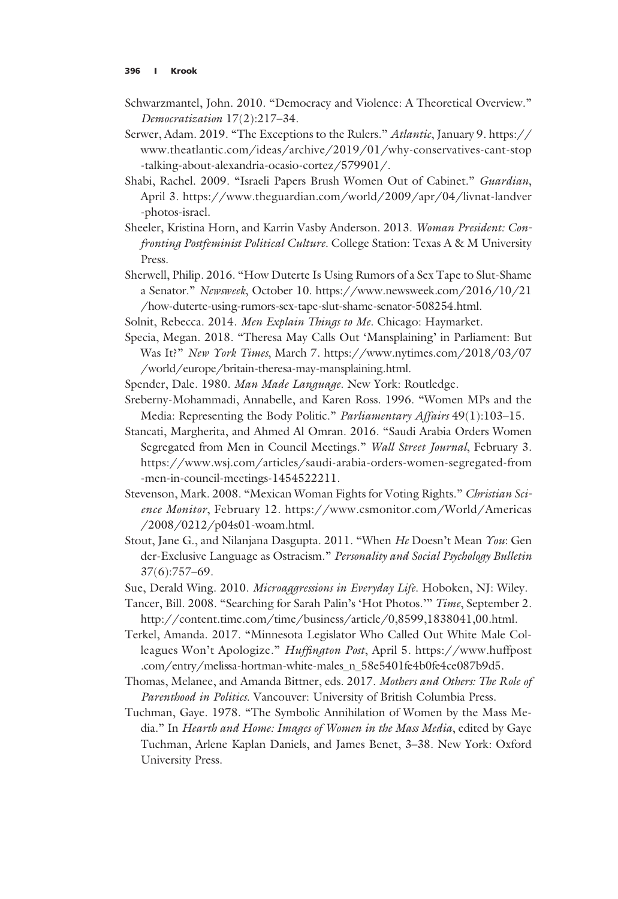- Schwarzmantel, John. 2010. "Democracy and Violence: A Theoretical Overview." Democratization 17(2):217–34.
- Serwer, Adam. 2019. "The Exceptions to the Rulers." Atlantic, January 9. [https://](https://www.theatlantic.com/ideas/archive/2019/01/why-conservatives-cant-stop-talking-about-alexandria-ocasio-cortez/579901/) [www.theatlantic.com/ideas/archive/2019/01/why-conservatives-cant-stop](https://www.theatlantic.com/ideas/archive/2019/01/why-conservatives-cant-stop-talking-about-alexandria-ocasio-cortez/579901/) [-talking-about-alexandria-ocasio-cortez/579901/](https://www.theatlantic.com/ideas/archive/2019/01/why-conservatives-cant-stop-talking-about-alexandria-ocasio-cortez/579901/).
- Shabi, Rachel. 2009. "Israeli Papers Brush Women Out of Cabinet." Guardian, April 3. [https://www.theguardian.com/world/2009/apr/04/livnat-landver](https://www.theguardian.com/world/2009/apr/04/livnat-landver-photos-israel) [-photos-israel](https://www.theguardian.com/world/2009/apr/04/livnat-landver-photos-israel).
- Sheeler, Kristina Horn, and Karrin Vasby Anderson. 2013. Woman President: Confronting Postfeminist Political Culture. College Station: Texas A & M University Press.
- Sherwell, Philip. 2016. "How Duterte Is Using Rumors of a Sex Tape to Slut-Shame a Senator." Newsweek, October 10. [https://www.newsweek.com/2016/10/21](https://www.newsweek.com/2016/10/21/how-duterte-using-rumors-sex-tape-slut-shame-senator-508254.html) [/how-duterte-using-rumors-sex-tape-slut-shame-senator-508254.html](https://www.newsweek.com/2016/10/21/how-duterte-using-rumors-sex-tape-slut-shame-senator-508254.html).
- Solnit, Rebecca. 2014. Men Explain Things to Me. Chicago: Haymarket.
- Specia, Megan. 2018. "Theresa May Calls Out 'Mansplaining' in Parliament: But Was It?" New York Times, March 7. [https://www.nytimes.com/2018/03/07](https://www.nytimes.com/2018/03/07/world/europe/britain-theresa-may-mansplaining.html) [/world/europe/britain-theresa-may-mansplaining.html](https://www.nytimes.com/2018/03/07/world/europe/britain-theresa-may-mansplaining.html).
- Spender, Dale. 1980. Man Made Language. New York: Routledge.
- Sreberny-Mohammadi, Annabelle, and Karen Ross. 1996. "Women MPs and the Media: Representing the Body Politic." *Parliamentary Affairs* 49(1):103–15.
- Stancati, Margherita, and Ahmed Al Omran. 2016. "Saudi Arabia Orders Women Segregated from Men in Council Meetings." Wall Street Journal, February 3. [https://www.wsj.com/articles/saudi-arabia-orders-women-segregated-from](https://www.wsj.com/articles/saudi-arabia-orders-women-segregated-from-men-in-council-meetings-1454522211) [-men-in-council-meetings-1454522211.](https://www.wsj.com/articles/saudi-arabia-orders-women-segregated-from-men-in-council-meetings-1454522211)
- Stevenson, Mark. 2008. "Mexican Woman Fights for Voting Rights." Christian Science Monitor, February 12. [https://www.csmonitor.com/World/Americas](https://www.csmonitor.com/World/Americas/2008/0212/p04s01-woam.html) [/2008/0212/p04s01-woam.html.](https://www.csmonitor.com/World/Americas/2008/0212/p04s01-woam.html)
- Stout, Jane G., and Nilanjana Dasgupta. 2011. "When He Doesn't Mean You: Gen der-Exclusive Language as Ostracism." Personality and Social Psychology Bulletin 37(6):757–69.
- Sue, Derald Wing. 2010. Microaggressions in Everyday Life. Hoboken, NJ: Wiley.
- Tancer, Bill. 2008. "Searching for Sarah Palin's 'Hot Photos.'" Time, September 2. [http://content.time.com/time/business/article/0,8599,1838041,00.html.](http://content.time.com/time/business/article/0,8599,1838041,00.html)
- Terkel, Amanda. 2017. "Minnesota Legislator Who Called Out White Male Colleagues Won't Apologize." Huffington Post, April 5. [https://www.huffpost](https://www.huffpost.com/entry/melissa-hortman-white-males_n_58e5401fe4b0fe4ce087b9d5) [.com/entry/melissa-hortman-white-males\\_n\\_58e5401fe4b0fe4ce087b9d5](https://www.huffpost.com/entry/melissa-hortman-white-males_n_58e5401fe4b0fe4ce087b9d5).
- Thomas, Melanee, and Amanda Bittner, eds. 2017. Mothers and Others: The Role of Parenthood in Politics. Vancouver: University of British Columbia Press.
- Tuchman, Gaye. 1978. "The Symbolic Annihilation of Women by the Mass Media." In Hearth and Home: Images of Women in the Mass Media, edited by Gaye Tuchman, Arlene Kaplan Daniels, and James Benet, 3–38. New York: Oxford University Press.